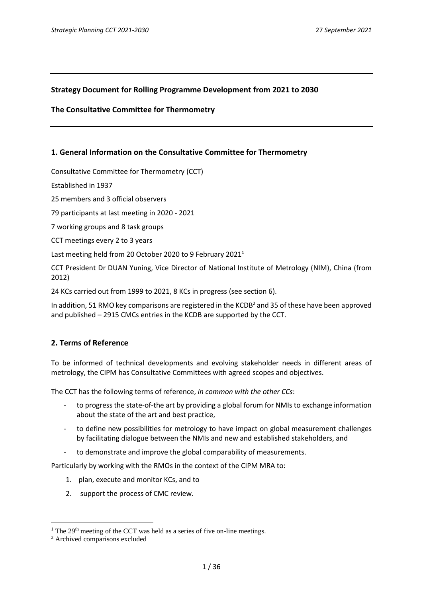# **Strategy Document for Rolling Programme Development from 2021 to 2030**

### **The Consultative Committee for Thermometry**

# **1. General Information on the Consultative Committee for Thermometry**

Consultative Committee for Thermometry (CCT)

Established in 1937

25 members and 3 official observers

79 participants at last meeting in 2020 - 2021

7 working groups and 8 task groups

CCT meetings every 2 to 3 years

Last meeting held from 20 October 2020 to 9 February 2021<sup>1</sup>

CCT President Dr DUAN Yuning, Vice Director of National Institute of Metrology (NIM), China (from 2012)

24 KCs carried out from 1999 to 2021, 8 KCs in progress (see section 6).

In addition, 51 RMO key comparisons are registered in the KCDB<sup>2</sup> and 35 of these have been approved and published – 2915 CMCs entries in the KCDB are supported by the CCT.

# **2. Terms of Reference**

To be informed of technical developments and evolving stakeholder needs in different areas of metrology, the CIPM has Consultative Committees with agreed scopes and objectives.

The CCT has the following terms of reference, *in common with the other CCs*:

- to progress the state-of-the art by providing a global forum for NMIs to exchange information about the state of the art and best practice,
- to define new possibilities for metrology to have impact on global measurement challenges by facilitating dialogue between the NMIs and new and established stakeholders, and
- to demonstrate and improve the global comparability of measurements.

Particularly by working with the RMOs in the context of the CIPM MRA to:

- 1. plan, execute and monitor KCs, and to
- 2. support the process of CMC review.

<sup>&</sup>lt;sup>1</sup> The  $29<sup>th</sup>$  meeting of the CCT was held as a series of five on-line meetings.

<sup>2</sup> Archived comparisons excluded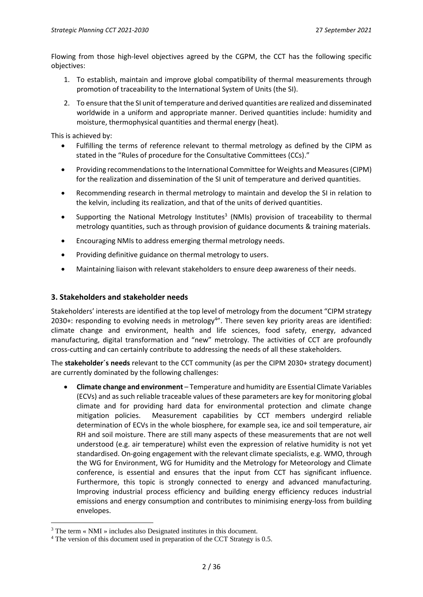Flowing from those high-level objectives agreed by the CGPM, the CCT has the following specific objectives:

- 1. To establish, maintain and improve global compatibility of thermal measurements through promotion of traceability to the International System of Units (the SI).
- 2. To ensure that the SI unit of temperature and derived quantities are realized and disseminated worldwide in a uniform and appropriate manner. Derived quantities include: humidity and moisture, thermophysical quantities and thermal energy (heat).

This is achieved by:

- Fulfilling the terms of reference relevant to thermal metrology as defined by the CIPM as stated in the "[Rules of procedure for the Consultative Committees \(CCs\).](https://www.bipm.org/en/search?p_p_id=search_portlet&p_p_lifecycle=2&p_p_state=normal&p_p_mode=view&p_p_resource_id=%2Fdownload%2Fpublication&p_p_cacheability=cacheLevelPage&_search_portlet_dlFileId=43280072&p_p_lifecycle=1&_search_portlet_javax.portlet.action=search&_search_portlet_formDate=1618329616426&_search_portlet_query=consultative+committee&_search_portlet_source=BIPM)"
- Providing recommendations to the International Committee for Weights and Measures(CIPM) for the realization and dissemination of the SI unit of temperature and derived quantities.
- Recommending research in thermal metrology to maintain and develop the SI in relation to the kelvin, including its realization, and that of the units of derived quantities.
- Supporting the National Metrology Institutes<sup>3</sup> (NMIs) provision of traceability to thermal metrology quantities, such as through provision of guidance documents & training materials.
- Encouraging NMIs to address emerging thermal metrology needs.
- Providing definitive guidance on thermal metrology to users.
- Maintaining liaison with relevant stakeholders to ensure deep awareness of their needs.

# **3. Stakeholders and stakeholder needs**

Stakeholders' interests are identified at the top level of metrology from the document "CIPM strategy 2030+: responding to evolving needs in metrology<sup>4</sup>". There seven key priority areas are identified: climate change and environment, health and life sciences, food safety, energy, advanced manufacturing, digital transformation and "new" metrology. The activities of CCT are profoundly cross-cutting and can certainly contribute to addressing the needs of all these stakeholders.

The **stakeholder´s needs** relevant to the CCT community (as per the CIPM 2030+ strategy document) are currently dominated by the following challenges:

• **Climate change and environment** – Temperature and humidity are Essential Climate Variables (ECVs) and as such reliable traceable values of these parameters are key for monitoring global climate and for providing hard data for environmental protection and climate change mitigation policies. Measurement capabilities by CCT members undergird reliable determination of ECVs in the whole biosphere, for example sea, ice and soil temperature, air RH and soil moisture. There are still many aspects of these measurements that are not well understood (e.g. air temperature) whilst even the expression of relative humidity is not yet standardised. On-going engagement with the relevant climate specialists, e.g. WMO, through the WG for Environment, WG for Humidity and the Metrology for Meteorology and Climate conference, is essential and ensures that the input from CCT has significant influence. Furthermore, this topic is strongly connected to energy and advanced manufacturing. Improving industrial process efficiency and building energy efficiency reduces industrial emissions and energy consumption and contributes to minimising energy-loss from building envelopes.

<sup>3</sup> The term « NMI » includes also Designated institutes in this document.

<sup>&</sup>lt;sup>4</sup> The version of this document used in preparation of the CCT Strategy is 0.5.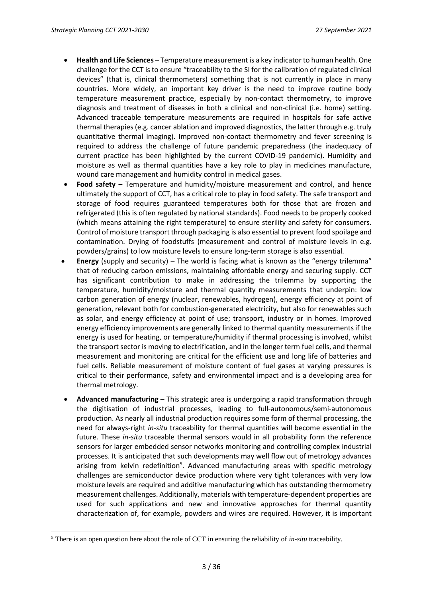- **Health and Life Sciences** Temperature measurement is a key indicator to human health. One challenge for the CCT is to ensure "traceability to the SI for the calibration of regulated clinical devices" (that is, clinical thermometers) something that is not currently in place in many countries. More widely, an important key driver is the need to improve routine body temperature measurement practice, especially by non-contact thermometry, to improve diagnosis and treatment of diseases in both a clinical and non-clinical (i.e. home) setting. Advanced traceable temperature measurements are required in hospitals for safe active thermal therapies (e.g. cancer ablation and improved diagnostics, the latter through e.g. truly quantitative thermal imaging). Improved non-contact thermometry and fever screening is required to address the challenge of future pandemic preparedness (the inadequacy of current practice has been highlighted by the current COVID-19 pandemic). Humidity and moisture as well as thermal quantities have a key role to play in medicines manufacture, wound care management and humidity control in medical gases.
- **Food safety** Temperature and humidity/moisture measurement and control, and hence ultimately the support of CCT, has a critical role to play in food safety. The safe transport and storage of food requires guaranteed temperatures both for those that are frozen and refrigerated (this is often regulated by national standards). Food needs to be properly cooked (which means attaining the right temperature) to ensure sterility and safety for consumers. Control of moisture transport through packaging is also essential to prevent food spoilage and contamination. Drying of foodstuffs (measurement and control of moisture levels in e.g. powders/grains) to low moisture levels to ensure long-term storage is also essential.
- **Energy** (supply and security) The world is facing what is known as the "energy trilemma" that of reducing carbon emissions, maintaining affordable energy and securing supply. CCT has significant contribution to make in addressing the trilemma by supporting the temperature, humidity/moisture and thermal quantity measurements that underpin: low carbon generation of energy (nuclear, renewables, hydrogen), energy efficiency at point of generation, relevant both for combustion-generated electricity, but also for renewables such as solar, and energy efficiency at point of use; transport, industry or in homes. Improved energy efficiency improvements are generally linked to thermal quantity measurements if the energy is used for heating, or temperature/humidity if thermal processing is involved, whilst the transport sector is moving to electrification, and in the longer term fuel cells, and thermal measurement and monitoring are critical for the efficient use and long life of batteries and fuel cells. Reliable measurement of moisture content of fuel gases at varying pressures is critical to their performance, safety and environmental impact and is a developing area for thermal metrology.
- **Advanced manufacturing** This strategic area is undergoing a rapid transformation through the digitisation of industrial processes, leading to full-autonomous/semi-autonomous production. As nearly all industrial production requires some form of thermal processing, the need for always-right *in-situ* traceability for thermal quantities will become essential in the future. These *in-situ* traceable thermal sensors would in all probability form the reference sensors for larger embedded sensor networks monitoring and controlling complex industrial processes. It is anticipated that such developments may well flow out of metrology advances arising from kelvin redefinition<sup>5</sup>. Advanced manufacturing areas with specific metrology challenges are semiconductor device production where very tight tolerances with very low moisture levels are required and additive manufacturing which has outstanding thermometry measurement challenges. Additionally, materials with temperature-dependent properties are used for such applications and new and innovative approaches for thermal quantity characterization of, for example, powders and wires are required. However, it is important

<sup>5</sup> There is an open question here about the role of CCT in ensuring the reliability of *in-situ* traceability.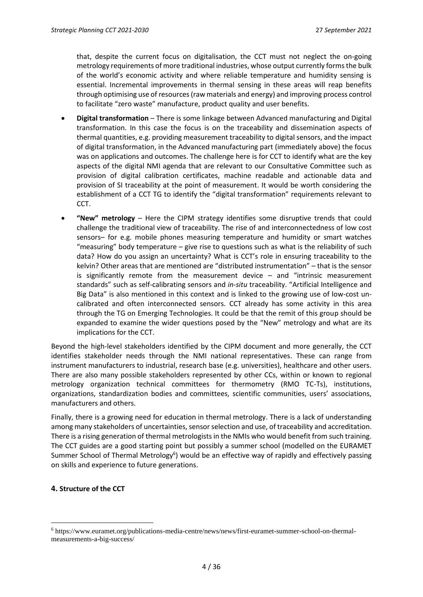that, despite the current focus on digitalisation, the CCT must not neglect the on-going metrology requirements of more traditional industries, whose output currently forms the bulk of the world's economic activity and where reliable temperature and humidity sensing is essential. Incremental improvements in thermal sensing in these areas will reap benefits through optimising use of resources (raw materials and energy) and improving process control to facilitate "zero waste" manufacture, product quality and user benefits.

- **Digital transformation**  There is some linkage between Advanced manufacturing and Digital transformation. In this case the focus is on the traceability and dissemination aspects of thermal quantities, e.g. providing measurement traceability to digital sensors, and the impact of digital transformation, in the Advanced manufacturing part (immediately above) the focus was on applications and outcomes. The challenge here is for CCT to identify what are the key aspects of the digital NMI agenda that are relevant to our Consultative Committee such as provision of digital calibration certificates, machine readable and actionable data and provision of SI traceability at the point of measurement. It would be worth considering the establishment of a CCT TG to identify the "digital transformation" requirements relevant to CCT.
- **"New" metrology** Here the CIPM strategy identifies some disruptive trends that could challenge the traditional view of traceability. The rise of and interconnectedness of low cost sensors– for e.g. mobile phones measuring temperature and humidity or smart watches "measuring" body temperature – give rise to questions such as what is the reliability of such data? How do you assign an uncertainty? What is CCT's role in ensuring traceability to the kelvin? Other areas that are mentioned are "distributed instrumentation" – that is the sensor is significantly remote from the measurement device – and "intrinsic measurement standards" such as self-calibrating sensors and *in-situ* traceability. "Artificial Intelligence and Big Data" is also mentioned in this context and is linked to the growing use of low-cost uncalibrated and often interconnected sensors. CCT already has some activity in this area through the TG on Emerging Technologies. It could be that the remit of this group should be expanded to examine the wider questions posed by the "New" metrology and what are its implications for the CCT.

Beyond the high-level stakeholders identified by the CIPM document and more generally, the CCT identifies stakeholder needs through the NMI national representatives. These can range from instrument manufacturers to industrial, research base (e.g. universities), healthcare and other users. There are also many possible stakeholders represented by other CCs, within or known to regional metrology organization technical committees for thermometry (RMO TC-Ts), institutions, organizations, standardization bodies and committees, scientific communities, users' associations, manufacturers and others.

Finally, there is a growing need for education in thermal metrology. There is a lack of understanding among many stakeholders of uncertainties, sensor selection and use, of traceability and accreditation. There is a rising generation of thermal metrologistsin the NMIs who would benefit from such training. The CCT guides are a good starting point but possibly a summer school (modelled on the EURAMET Summer School of Thermal Metrology<sup>6</sup>) would be an effective way of rapidly and effectively passing on skills and experience to future generations.

# **4. Structure of the CCT**

<sup>6</sup> https://www.euramet.org/publications-media-centre/news/news/first-euramet-summer-school-on-thermalmeasurements-a-big-success/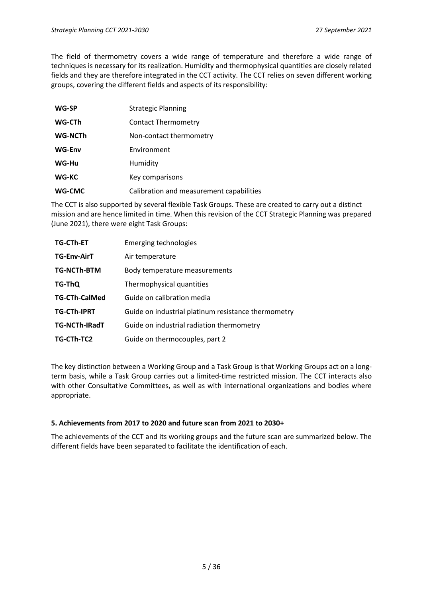The field of thermometry covers a wide range of temperature and therefore a wide range of techniques is necessary for its realization. Humidity and thermophysical quantities are closely related fields and they are therefore integrated in the CCT activity. The CCT relies on seven different working groups, covering the different fields and aspects of its responsibility:

| WG-SP         | <b>Strategic Planning</b>                |
|---------------|------------------------------------------|
| WG-CTh        | Contact Thermometry                      |
| WG-NCTh       | Non-contact thermometry                  |
| <b>WG-Env</b> | Environment                              |
| WG-Hu         | Humidity                                 |
| WG-KC         | Key comparisons                          |
| WG-CMC        | Calibration and measurement capabilities |

The CCT is also supported by several flexible Task Groups. These are created to carry out a distinct mission and are hence limited in time. When this revision of the CCT Strategic Planning was prepared (June 2021), there were eight Task Groups:

| <b>TG-CTh-ET</b>     | <b>Emerging technologies</b>                        |
|----------------------|-----------------------------------------------------|
| <b>TG-Env-AirT</b>   | Air temperature                                     |
| <b>TG-NCTh-BTM</b>   | Body temperature measurements                       |
| TG-ThQ               | Thermophysical quantities                           |
| <b>TG-CTh-CalMed</b> | Guide on calibration media                          |
| <b>TG-CTh-IPRT</b>   | Guide on industrial platinum resistance thermometry |
| <b>TG-NCTh-IRadT</b> | Guide on industrial radiation thermometry           |
| TG-CTh-TC2           | Guide on thermocouples, part 2                      |

The key distinction between a Working Group and a Task Group is that Working Groups act on a longterm basis, while a Task Group carries out a limited-time restricted mission. The CCT interacts also with other Consultative Committees, as well as with international organizations and bodies where appropriate.

#### **5. Achievements from 2017 to 2020 and future scan from 2021 to 2030+**

The achievements of the CCT and its working groups and the future scan are summarized below. The different fields have been separated to facilitate the identification of each.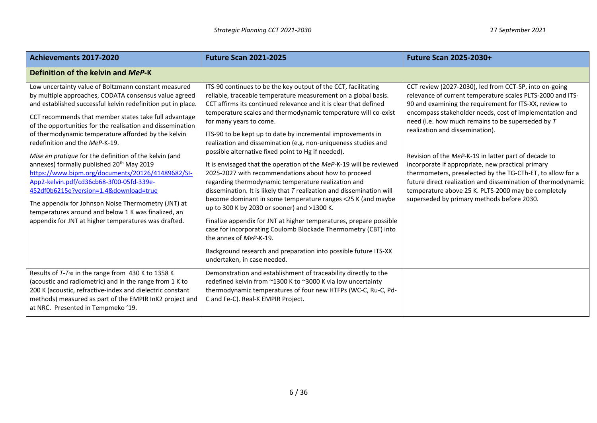| Achievements 2017-2020                                                                                                                                                                                                                                                                                                                                                                                                                                                                                                                                                                                                                                                                                                                                                                                                            | <b>Future Scan 2021-2025</b>                                                                                                                                                                                                                                                                                                                                                                                                                                                                                                                                                                                                                                                                                                                                                                                                                                                                                                                                                                                                                                                                                                               | <b>Future Scan 2025-2030+</b>                                                                                                                                                                                                                                                                                                                                                                                                                                                                                                                                                                                                                                                     |
|-----------------------------------------------------------------------------------------------------------------------------------------------------------------------------------------------------------------------------------------------------------------------------------------------------------------------------------------------------------------------------------------------------------------------------------------------------------------------------------------------------------------------------------------------------------------------------------------------------------------------------------------------------------------------------------------------------------------------------------------------------------------------------------------------------------------------------------|--------------------------------------------------------------------------------------------------------------------------------------------------------------------------------------------------------------------------------------------------------------------------------------------------------------------------------------------------------------------------------------------------------------------------------------------------------------------------------------------------------------------------------------------------------------------------------------------------------------------------------------------------------------------------------------------------------------------------------------------------------------------------------------------------------------------------------------------------------------------------------------------------------------------------------------------------------------------------------------------------------------------------------------------------------------------------------------------------------------------------------------------|-----------------------------------------------------------------------------------------------------------------------------------------------------------------------------------------------------------------------------------------------------------------------------------------------------------------------------------------------------------------------------------------------------------------------------------------------------------------------------------------------------------------------------------------------------------------------------------------------------------------------------------------------------------------------------------|
| Definition of the kelvin and MeP-K                                                                                                                                                                                                                                                                                                                                                                                                                                                                                                                                                                                                                                                                                                                                                                                                |                                                                                                                                                                                                                                                                                                                                                                                                                                                                                                                                                                                                                                                                                                                                                                                                                                                                                                                                                                                                                                                                                                                                            |                                                                                                                                                                                                                                                                                                                                                                                                                                                                                                                                                                                                                                                                                   |
| Low uncertainty value of Boltzmann constant measured<br>by multiple approaches, CODATA consensus value agreed<br>and established successful kelvin redefinition put in place.<br>CCT recommends that member states take full advantage<br>of the opportunities for the realisation and dissemination<br>of thermodynamic temperature afforded by the kelvin<br>redefinition and the MeP-K-19.<br>Mise en pratique for the definition of the kelvin (and<br>annexes) formally published 20 <sup>th</sup> May 2019<br>https://www.bipm.org/documents/20126/41489682/SI-<br>App2-kelvin.pdf/cd36cb68-3f00-05fd-339e-<br>452df0b6215e?version=1.4&download=true<br>The appendix for Johnson Noise Thermometry (JNT) at<br>temperatures around and below 1 K was finalized, an<br>appendix for JNT at higher temperatures was drafted. | ITS-90 continues to be the key output of the CCT, facilitating<br>reliable, traceable temperature measurement on a global basis.<br>CCT affirms its continued relevance and it is clear that defined<br>temperature scales and thermodynamic temperature will co-exist<br>for many years to come.<br>ITS-90 to be kept up to date by incremental improvements in<br>realization and dissemination (e.g. non-uniqueness studies and<br>possible alternative fixed point to Hg if needed).<br>It is envisaged that the operation of the MeP-K-19 will be reviewed<br>2025-2027 with recommendations about how to proceed<br>regarding thermodynamic temperature realization and<br>dissemination. It is likely that $T$ realization and dissemination will<br>become dominant in some temperature ranges <25 K (and maybe<br>up to 300 K by 2030 or sooner) and >1300 K.<br>Finalize appendix for JNT at higher temperatures, prepare possible<br>case for incorporating Coulomb Blockade Thermometry (CBT) into<br>the annex of MeP-K-19.<br>Background research and preparation into possible future ITS-XX<br>undertaken, in case needed. | CCT review (2027-2030), led from CCT-SP, into on-going<br>relevance of current temperature scales PLTS-2000 and ITS-<br>90 and examining the requirement for ITS-XX, review to<br>encompass stakeholder needs, cost of implementation and<br>need (i.e. how much remains to be superseded by T<br>realization and dissemination).<br>Revision of the MeP-K-19 in latter part of decade to<br>incorporate if appropriate, new practical primary<br>thermometers, preselected by the TG-CTh-ET, to allow for a<br>future direct realization and dissemination of thermodynamic<br>temperature above 25 K. PLTS-2000 may be completely<br>superseded by primary methods before 2030. |
| Results of T-T <sub>90</sub> in the range from 430 K to 1358 K<br>(acoustic and radiometric) and in the range from 1 K to<br>200 K (acoustic, refractive-index and dielectric constant<br>methods) measured as part of the EMPIR InK2 project and<br>at NRC. Presented in Tempmeko '19.                                                                                                                                                                                                                                                                                                                                                                                                                                                                                                                                           | Demonstration and establishment of traceability directly to the<br>redefined kelvin from ~1300 K to ~3000 K via low uncertainty<br>thermodynamic temperatures of four new HTFPs (WC-C, Ru-C, Pd-<br>C and Fe-C). Real-K EMPIR Project.                                                                                                                                                                                                                                                                                                                                                                                                                                                                                                                                                                                                                                                                                                                                                                                                                                                                                                     |                                                                                                                                                                                                                                                                                                                                                                                                                                                                                                                                                                                                                                                                                   |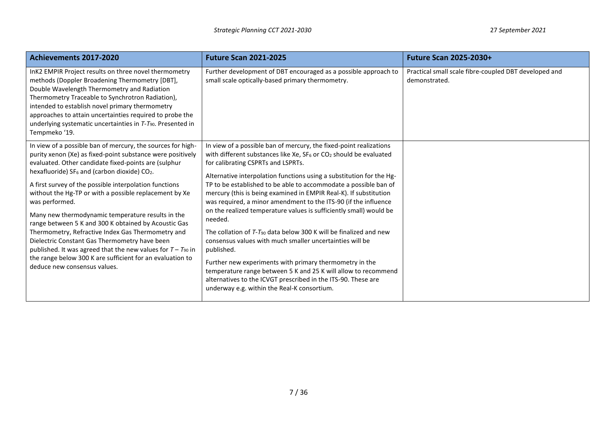| Achievements 2017-2020                                                                                                                                                                                                                                                                                                                                                                                                                                                                                                                                                                                                                                                                                                                                                              | <b>Future Scan 2021-2025</b>                                                                                                                                                                                                                                                                                                                                                                                                                                                                                                                                                                                                                                                                                                                                                                                                                                                                                                                                     | <b>Future Scan 2025-2030+</b>                                          |
|-------------------------------------------------------------------------------------------------------------------------------------------------------------------------------------------------------------------------------------------------------------------------------------------------------------------------------------------------------------------------------------------------------------------------------------------------------------------------------------------------------------------------------------------------------------------------------------------------------------------------------------------------------------------------------------------------------------------------------------------------------------------------------------|------------------------------------------------------------------------------------------------------------------------------------------------------------------------------------------------------------------------------------------------------------------------------------------------------------------------------------------------------------------------------------------------------------------------------------------------------------------------------------------------------------------------------------------------------------------------------------------------------------------------------------------------------------------------------------------------------------------------------------------------------------------------------------------------------------------------------------------------------------------------------------------------------------------------------------------------------------------|------------------------------------------------------------------------|
| InK2 EMPIR Project results on three novel thermometry<br>methods (Doppler Broadening Thermometry [DBT],<br>Double Wavelength Thermometry and Radiation<br>Thermometry Traceable to Synchrotron Radiation),<br>intended to establish novel primary thermometry<br>approaches to attain uncertainties required to probe the<br>underlying systematic uncertainties in T-T90. Presented in<br>Tempmeko '19.                                                                                                                                                                                                                                                                                                                                                                            | Further development of DBT encouraged as a possible approach to<br>small scale optically-based primary thermometry.                                                                                                                                                                                                                                                                                                                                                                                                                                                                                                                                                                                                                                                                                                                                                                                                                                              | Practical small scale fibre-coupled DBT developed and<br>demonstrated. |
| In view of a possible ban of mercury, the sources for high-<br>purity xenon (Xe) as fixed-point substance were positively<br>evaluated. Other candidate fixed-points are (sulphur<br>hexafluoride) SF <sub>6</sub> and (carbon dioxide) CO <sub>2</sub> .<br>A first survey of the possible interpolation functions<br>without the Hg-TP or with a possible replacement by Xe<br>was performed.<br>Many new thermodynamic temperature results in the<br>range between 5 K and 300 K obtained by Acoustic Gas<br>Thermometry, Refractive Index Gas Thermometry and<br>Dielectric Constant Gas Thermometry have been<br>published. It was agreed that the new values for $T - T_{90}$ in<br>the range below 300 K are sufficient for an evaluation to<br>deduce new consensus values. | In view of a possible ban of mercury, the fixed-point realizations<br>with different substances like Xe, $SF_6$ or $CO_2$ should be evaluated<br>for calibrating CSPRTs and LSPRTs.<br>Alternative interpolation functions using a substitution for the Hg-<br>TP to be established to be able to accommodate a possible ban of<br>mercury (this is being examined in EMPIR Real-K). If substitution<br>was required, a minor amendment to the ITS-90 (if the influence<br>on the realized temperature values is sufficiently small) would be<br>needed.<br>The collation of T-T <sub>90</sub> data below 300 K will be finalized and new<br>consensus values with much smaller uncertainties will be<br>published.<br>Further new experiments with primary thermometry in the<br>temperature range between 5 K and 25 K will allow to recommend<br>alternatives to the ICVGT prescribed in the ITS-90. These are<br>underway e.g. within the Real-K consortium. |                                                                        |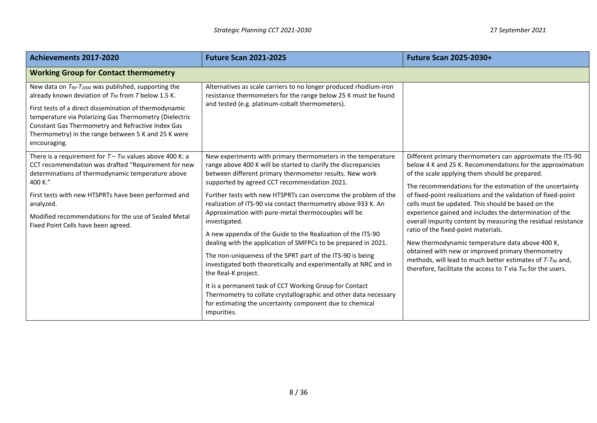| Achievements 2017-2020                                                                                                                                                                                                                                                                                                                                                                  | <b>Future Scan 2021-2025</b>                                                                                                                                                                                                                                                                                                                                                                                                                                                                                                                                                                                                                                                                                                                                                                                                                                                                                                                              | <b>Future Scan 2025-2030+</b>                                                                                                                                                                                                                                                                                                                                                                                                                                                                                                                                                                                                                                                                                                                                                           |
|-----------------------------------------------------------------------------------------------------------------------------------------------------------------------------------------------------------------------------------------------------------------------------------------------------------------------------------------------------------------------------------------|-----------------------------------------------------------------------------------------------------------------------------------------------------------------------------------------------------------------------------------------------------------------------------------------------------------------------------------------------------------------------------------------------------------------------------------------------------------------------------------------------------------------------------------------------------------------------------------------------------------------------------------------------------------------------------------------------------------------------------------------------------------------------------------------------------------------------------------------------------------------------------------------------------------------------------------------------------------|-----------------------------------------------------------------------------------------------------------------------------------------------------------------------------------------------------------------------------------------------------------------------------------------------------------------------------------------------------------------------------------------------------------------------------------------------------------------------------------------------------------------------------------------------------------------------------------------------------------------------------------------------------------------------------------------------------------------------------------------------------------------------------------------|
| <b>Working Group for Contact thermometry</b>                                                                                                                                                                                                                                                                                                                                            |                                                                                                                                                                                                                                                                                                                                                                                                                                                                                                                                                                                                                                                                                                                                                                                                                                                                                                                                                           |                                                                                                                                                                                                                                                                                                                                                                                                                                                                                                                                                                                                                                                                                                                                                                                         |
| New data on T <sub>90</sub> -T <sub>2000</sub> was published, supporting the<br>already known deviation of $T_{90}$ from T below 1.5 K.<br>First tests of a direct dissemination of thermodynamic<br>temperature via Polarizing Gas Thermometry (Dielectric<br>Constant Gas Thermometry and Refractive Index Gas<br>Thermometry) in the range between 5 K and 25 K were<br>encouraging. | Alternatives as scale carriers to no longer produced rhodium-iron<br>resistance thermometers for the range below 25 K must be found<br>and tested (e.g. platinum-cobalt thermometers).                                                                                                                                                                                                                                                                                                                                                                                                                                                                                                                                                                                                                                                                                                                                                                    |                                                                                                                                                                                                                                                                                                                                                                                                                                                                                                                                                                                                                                                                                                                                                                                         |
| There is a requirement for $T - T_{90}$ values above 400 K: a<br>CCT recommendation was drafted "Requirement for new<br>determinations of thermodynamic temperature above<br>400 K."<br>First tests with new HTSPRTs have been performed and<br>analyzed.<br>Modified recommendations for the use of Sealed Metal<br>Fixed Point Cells have been agreed.                                | New experiments with primary thermometers in the temperature<br>range above 400 K will be started to clarify the discrepancies<br>between different primary thermometer results. New work<br>supported by agreed CCT recommendation 2021.<br>Further tests with new HTSPRTs can overcome the problem of the<br>realization of ITS-90 via contact thermometry above 933 K. An<br>Approximation with pure-metal thermocouples will be<br>investigated.<br>A new appendix of the Guide to the Realization of the ITS-90<br>dealing with the application of SMFPCs to be prepared in 2021.<br>The non-uniqueness of the SPRT part of the ITS-90 is being<br>investigated both theoretically and experimentally at NRC and in<br>the Real-K project.<br>It is a permanent task of CCT Working Group for Contact<br>Thermometry to collate crystallographic and other data necessary<br>for estimating the uncertainty component due to chemical<br>impurities. | Different primary thermometers can approximate the ITS-90<br>below 4 K and 25 K. Recommendations for the approximation<br>of the scale applying them should be prepared.<br>The recommendations for the estimation of the uncertainty<br>of fixed-point realizations and the validation of fixed-point<br>cells must be updated. This should be based on the<br>experience gained and includes the determination of the<br>overall impurity content by measuring the residual resistance<br>ratio of the fixed-point materials.<br>New thermodynamic temperature data above 400 K,<br>obtained with new or improved primary thermometry<br>methods, will lead to much better estimates of T-T <sub>90</sub> and,<br>therefore, facilitate the access to $T$ via $T_{90}$ for the users. |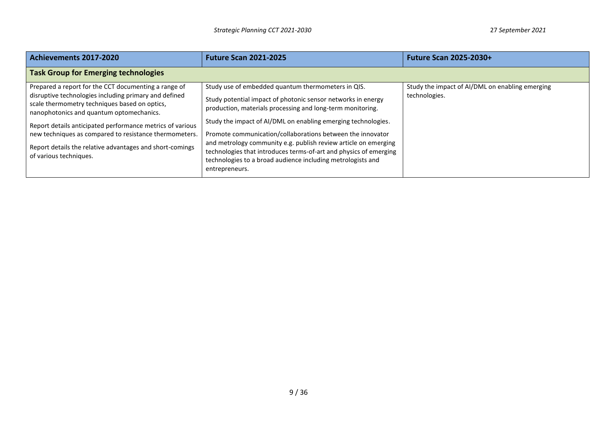| Achievements 2017-2020                                                                                                                             | <b>Future Scan 2021-2025</b>                                                                                                                                                                                          | <b>Future Scan 2025-2030+</b>                   |
|----------------------------------------------------------------------------------------------------------------------------------------------------|-----------------------------------------------------------------------------------------------------------------------------------------------------------------------------------------------------------------------|-------------------------------------------------|
| <b>Task Group for Emerging technologies</b>                                                                                                        |                                                                                                                                                                                                                       |                                                 |
| Prepared a report for the CCT documenting a range of                                                                                               | Study use of embedded quantum thermometers in QIS.                                                                                                                                                                    | Study the impact of AI/DML on enabling emerging |
| disruptive technologies including primary and defined<br>scale thermometry techniques based on optics,<br>nanophotonics and quantum optomechanics. | Study potential impact of photonic sensor networks in energy<br>production, materials processing and long-term monitoring.                                                                                            | technologies.                                   |
| Report details anticipated performance metrics of various                                                                                          | Study the impact of AI/DML on enabling emerging technologies.                                                                                                                                                         |                                                 |
| new techniques as compared to resistance thermometers.                                                                                             | Promote communication/collaborations between the innovator                                                                                                                                                            |                                                 |
| Report details the relative advantages and short-comings<br>of various techniques.                                                                 | and metrology community e.g. publish review article on emerging<br>technologies that introduces terms-of-art and physics of emerging<br>technologies to a broad audience including metrologists and<br>entrepreneurs. |                                                 |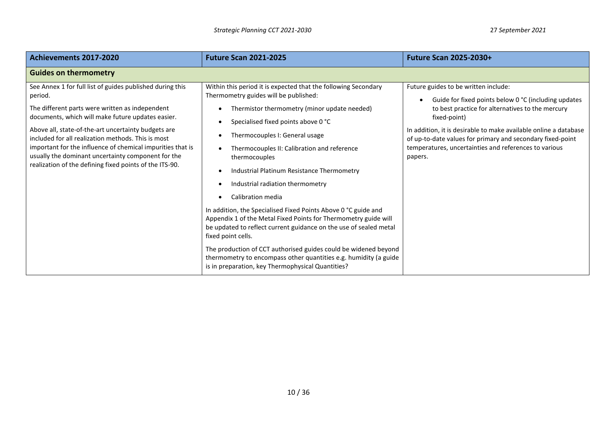| Achievements 2017-2020                                                                                                                                                                                                                                                                                                                                                                                                                                                   | <b>Future Scan 2021-2025</b>                                                                                                                                                                                                                                                                                                                                                                                                                                                                                                                                                                                                                                                                                                                                                                                                        | <b>Future Scan 2025-2030+</b>                                                                                                                                                                                                                                                                                                                                          |
|--------------------------------------------------------------------------------------------------------------------------------------------------------------------------------------------------------------------------------------------------------------------------------------------------------------------------------------------------------------------------------------------------------------------------------------------------------------------------|-------------------------------------------------------------------------------------------------------------------------------------------------------------------------------------------------------------------------------------------------------------------------------------------------------------------------------------------------------------------------------------------------------------------------------------------------------------------------------------------------------------------------------------------------------------------------------------------------------------------------------------------------------------------------------------------------------------------------------------------------------------------------------------------------------------------------------------|------------------------------------------------------------------------------------------------------------------------------------------------------------------------------------------------------------------------------------------------------------------------------------------------------------------------------------------------------------------------|
| <b>Guides on thermometry</b>                                                                                                                                                                                                                                                                                                                                                                                                                                             |                                                                                                                                                                                                                                                                                                                                                                                                                                                                                                                                                                                                                                                                                                                                                                                                                                     |                                                                                                                                                                                                                                                                                                                                                                        |
| See Annex 1 for full list of guides published during this<br>period.<br>The different parts were written as independent<br>documents, which will make future updates easier.<br>Above all, state-of-the-art uncertainty budgets are<br>included for all realization methods. This is most<br>important for the influence of chemical impurities that is<br>usually the dominant uncertainty component for the<br>realization of the defining fixed points of the ITS-90. | Within this period it is expected that the following Secondary<br>Thermometry guides will be published:<br>Thermistor thermometry (minor update needed)<br>Specialised fixed points above 0 °C<br>Thermocouples I: General usage<br>Thermocouples II: Calibration and reference<br>thermocouples<br>Industrial Platinum Resistance Thermometry<br>Industrial radiation thermometry<br>Calibration media<br>In addition, the Specialised Fixed Points Above 0 °C guide and<br>Appendix 1 of the Metal Fixed Points for Thermometry guide will<br>be updated to reflect current guidance on the use of sealed metal<br>fixed point cells.<br>The production of CCT authorised guides could be widened beyond<br>thermometry to encompass other quantities e.g. humidity (a guide<br>is in preparation, key Thermophysical Quantities? | Future guides to be written include:<br>Guide for fixed points below 0 °C (including updates<br>to best practice for alternatives to the mercury<br>fixed-point)<br>In addition, it is desirable to make available online a database<br>of up-to-date values for primary and secondary fixed-point<br>temperatures, uncertainties and references to various<br>papers. |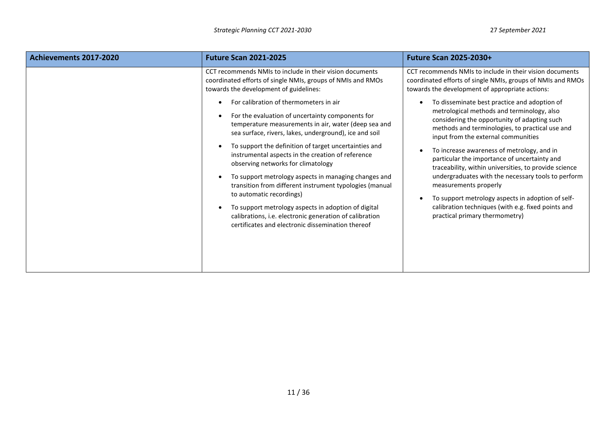| Achievements 2017-2020 | <b>Future Scan 2021-2025</b>                                                                                                                                                                                                                                                                                                                                                                                                                                                                                                                                                                                                                                                           | <b>Future Scan 2025-2030+</b>                                                                                                                                                                                                                                                                                                                                                                                                                                                                                                                                                                                                                     |
|------------------------|----------------------------------------------------------------------------------------------------------------------------------------------------------------------------------------------------------------------------------------------------------------------------------------------------------------------------------------------------------------------------------------------------------------------------------------------------------------------------------------------------------------------------------------------------------------------------------------------------------------------------------------------------------------------------------------|---------------------------------------------------------------------------------------------------------------------------------------------------------------------------------------------------------------------------------------------------------------------------------------------------------------------------------------------------------------------------------------------------------------------------------------------------------------------------------------------------------------------------------------------------------------------------------------------------------------------------------------------------|
|                        | CCT recommends NMIs to include in their vision documents<br>coordinated efforts of single NMIs, groups of NMIs and RMOs<br>towards the development of guidelines:                                                                                                                                                                                                                                                                                                                                                                                                                                                                                                                      | CCT recommends NMIs to include in their vision documents<br>coordinated efforts of single NMIs, groups of NMIs and RMOs<br>towards the development of appropriate actions:                                                                                                                                                                                                                                                                                                                                                                                                                                                                        |
|                        | For calibration of thermometers in air<br>For the evaluation of uncertainty components for<br>temperature measurements in air, water (deep sea and<br>sea surface, rivers, lakes, underground), ice and soil<br>To support the definition of target uncertainties and<br>instrumental aspects in the creation of reference<br>observing networks for climatology<br>To support metrology aspects in managing changes and<br>transition from different instrument typologies (manual<br>to automatic recordings)<br>To support metrology aspects in adoption of digital<br>calibrations, i.e. electronic generation of calibration<br>certificates and electronic dissemination thereof | To disseminate best practice and adoption of<br>$\bullet$<br>metrological methods and terminology, also<br>considering the opportunity of adapting such<br>methods and terminologies, to practical use and<br>input from the external communities<br>To increase awareness of metrology, and in<br>particular the importance of uncertainty and<br>traceability, within universities, to provide science<br>undergraduates with the necessary tools to perform<br>measurements properly<br>To support metrology aspects in adoption of self-<br>$\bullet$<br>calibration techniques (with e.g. fixed points and<br>practical primary thermometry) |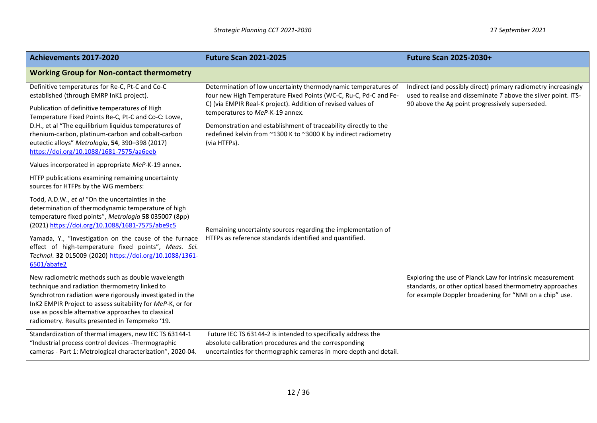| Achievements 2017-2020                                                                                                                                                                                                                                                                                                                                                                                                                                                                                      | <b>Future Scan 2021-2025</b>                                                                                                                                                                                                                                                                                                                                                                | <b>Future Scan 2025-2030+</b>                                                                                                                                                         |
|-------------------------------------------------------------------------------------------------------------------------------------------------------------------------------------------------------------------------------------------------------------------------------------------------------------------------------------------------------------------------------------------------------------------------------------------------------------------------------------------------------------|---------------------------------------------------------------------------------------------------------------------------------------------------------------------------------------------------------------------------------------------------------------------------------------------------------------------------------------------------------------------------------------------|---------------------------------------------------------------------------------------------------------------------------------------------------------------------------------------|
| <b>Working Group for Non-contact thermometry</b>                                                                                                                                                                                                                                                                                                                                                                                                                                                            |                                                                                                                                                                                                                                                                                                                                                                                             |                                                                                                                                                                                       |
| Definitive temperatures for Re-C, Pt-C and Co-C<br>established (through EMRP InK1 project).<br>Publication of definitive temperatures of High<br>Temperature Fixed Points Re-C, Pt-C and Co-C: Lowe,<br>D.H., et al "The equilibrium liquidus temperatures of<br>rhenium-carbon, platinum-carbon and cobalt-carbon<br>eutectic alloys" Metrologia, 54, 390-398 (2017)<br>https://doi.org/10.1088/1681-7575/aa6eeb<br>Values incorporated in appropriate MeP-K-19 annex.                                     | Determination of low uncertainty thermodynamic temperatures of<br>four new High Temperature Fixed Points (WC-C, Ru-C, Pd-C and Fe-<br>C) (via EMPIR Real-K project). Addition of revised values of<br>temperatures to MeP-K-19 annex.<br>Demonstration and establishment of traceability directly to the<br>redefined kelvin from ~1300 K to ~3000 K by indirect radiometry<br>(via HTFPs). | Indirect (and possibly direct) primary radiometry increasingly<br>used to realise and disseminate $T$ above the silver point. ITS-<br>90 above the Ag point progressively superseded. |
| HTFP publications examining remaining uncertainty<br>sources for HTFPs by the WG members:<br>Todd, A.D.W., et al "On the uncertainties in the<br>determination of thermodynamic temperature of high<br>temperature fixed points", Metrologia 58 035007 (8pp)<br>(2021) https://doi.org/10.1088/1681-7575/abe9c5<br>Yamada, Y., "Investigation on the cause of the furnace<br>effect of high-temperature fixed points", Meas. Sci.<br>Technol. 32 015009 (2020) https://doi.org/10.1088/1361-<br>6501/abafe2 | Remaining uncertainty sources regarding the implementation of<br>HTFPs as reference standards identified and quantified.                                                                                                                                                                                                                                                                    |                                                                                                                                                                                       |
| New radiometric methods such as double wavelength<br>technique and radiation thermometry linked to<br>Synchrotron radiation were rigorously investigated in the<br>InK2 EMPIR Project to assess suitability for MeP-K, or for<br>use as possible alternative approaches to classical<br>radiometry. Results presented in Tempmeko '19.                                                                                                                                                                      |                                                                                                                                                                                                                                                                                                                                                                                             | Exploring the use of Planck Law for intrinsic measurement<br>standards, or other optical based thermometry approaches<br>for example Doppler broadening for "NMI on a chip" use.      |
| Standardization of thermal imagers, new IEC TS 63144-1<br>"Industrial process control devices -Thermographic<br>cameras - Part 1: Metrological characterization", 2020-04.                                                                                                                                                                                                                                                                                                                                  | Future IEC TS 63144-2 is intended to specifically address the<br>absolute calibration procedures and the corresponding<br>uncertainties for thermographic cameras in more depth and detail.                                                                                                                                                                                                 |                                                                                                                                                                                       |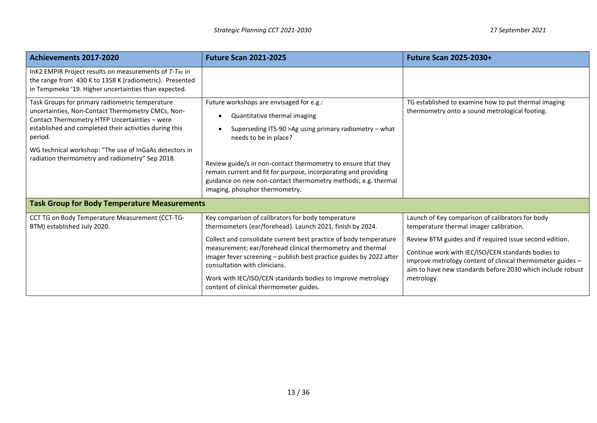| Achievements 2017-2020                                                                                                                                                                                                     | <b>Future Scan 2021-2025</b>                                                                                                                                                                                                                                                                                                                      | <b>Future Scan 2025-2030+</b>                                                                                                                                                                                                                           |
|----------------------------------------------------------------------------------------------------------------------------------------------------------------------------------------------------------------------------|---------------------------------------------------------------------------------------------------------------------------------------------------------------------------------------------------------------------------------------------------------------------------------------------------------------------------------------------------|---------------------------------------------------------------------------------------------------------------------------------------------------------------------------------------------------------------------------------------------------------|
| InK2 EMPIR Project results on measurements of T-T90 in<br>the range from 430 K to 1358 K (radiometric). Presented<br>in Tempmeko '19. Higher uncertainties than expected.                                                  |                                                                                                                                                                                                                                                                                                                                                   |                                                                                                                                                                                                                                                         |
| Task Groups for primary radiometric temperature<br>uncertainties, Non-Contact Thermometry CMCs, Non-<br>Contact Thermometry HTFP Uncertainties - were<br>established and completed their activities during this<br>period. | Future workshops are envisaged for e.g.:<br>Quantitative thermal imaging<br>Superseding ITS-90 > Ag using primary radiometry - what<br>needs to be in place?                                                                                                                                                                                      | TG established to examine how to put thermal imaging<br>thermometry onto a sound metrological footing.                                                                                                                                                  |
| WG technical workshop: "The use of InGaAs detectors in<br>radiation thermometry and radiometry" Sep 2018.                                                                                                                  | Review guide/s in non-contact thermometry to ensure that they<br>remain current and fit for purpose, incorporating and providing<br>guidance on new non-contact thermometry methods; e.g. thermal<br>imaging, phosphor thermometry.                                                                                                               |                                                                                                                                                                                                                                                         |
| <b>Task Group for Body Temperature Measurements</b>                                                                                                                                                                        |                                                                                                                                                                                                                                                                                                                                                   |                                                                                                                                                                                                                                                         |
| CCT TG on Body Temperature Measurement (CCT-TG-<br>BTM) established July 2020.                                                                                                                                             | Key comparison of calibrators for body temperature<br>thermometers (ear/forehead). Launch 2021, finish by 2024.                                                                                                                                                                                                                                   | Launch of Key comparison of calibrators for body<br>temperature thermal imager calibration.                                                                                                                                                             |
|                                                                                                                                                                                                                            | Collect and consolidate current best practice of body temperature<br>measurement; ear/forehead clinical thermometry and thermal<br>imager fever screening - publish best practice guides by 2022 after<br>consultation with clinicians.<br>Work with IEC/ISO/CEN standards bodies to improve metrology<br>content of clinical thermometer guides. | Review BTM guides and if required issue second edition.<br>Continue work with IEC/ISO/CEN standards bodies to<br>improve metrology content of clinical thermometer guides -<br>aim to have new standards before 2030 which include robust<br>metrology. |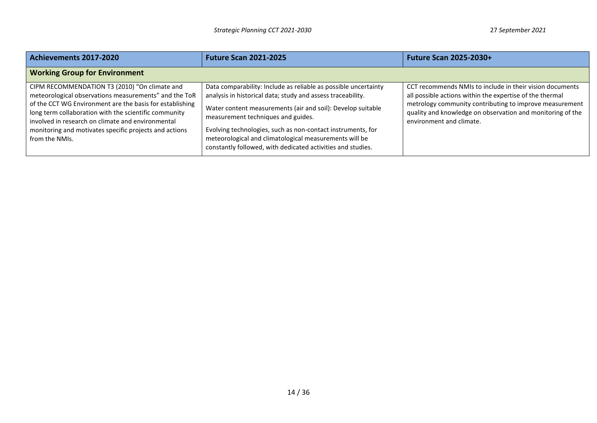| Achievements 2017-2020                                                                                                                                                                                                                                                                                                                                       | <b>Future Scan 2021-2025</b>                                                                                                                                                                                                                                                                                                                                                                                                | <b>Future Scan 2025-2030+</b>                                                                                                                                                                                                                                             |
|--------------------------------------------------------------------------------------------------------------------------------------------------------------------------------------------------------------------------------------------------------------------------------------------------------------------------------------------------------------|-----------------------------------------------------------------------------------------------------------------------------------------------------------------------------------------------------------------------------------------------------------------------------------------------------------------------------------------------------------------------------------------------------------------------------|---------------------------------------------------------------------------------------------------------------------------------------------------------------------------------------------------------------------------------------------------------------------------|
| <b>Working Group for Environment</b>                                                                                                                                                                                                                                                                                                                         |                                                                                                                                                                                                                                                                                                                                                                                                                             |                                                                                                                                                                                                                                                                           |
| CIPM RECOMMENDATION T3 (2010) "On climate and<br>meteorological observations measurements" and the ToR<br>of the CCT WG Environment are the basis for establishing<br>long term collaboration with the scientific community<br>involved in research on climate and environmental<br>monitoring and motivates specific projects and actions<br>from the NMIs. | Data comparability: Include as reliable as possible uncertainty<br>analysis in historical data; study and assess traceability.<br>Water content measurements (air and soil): Develop suitable<br>measurement techniques and guides.<br>Evolving technologies, such as non-contact instruments, for<br>meteorological and climatological measurements will be<br>constantly followed, with dedicated activities and studies. | CCT recommends NMIs to include in their vision documents<br>all possible actions within the expertise of the thermal<br>metrology community contributing to improve measurement<br>quality and knowledge on observation and monitoring of the<br>environment and climate. |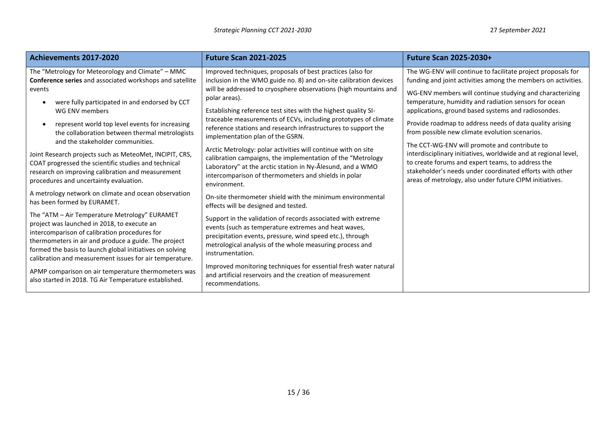| Achievements 2017-2020                                                                                                                                                                                                                                                                                                                                                                          | <b>Future Scan 2021-2025</b>                                                                                                                                                                                                                                                                                                                                                                                                                                                                                                                                                                    | <b>Future Scan 2025-2030+</b>                                                                                                                                                                                                                                                                                                                                                                                                                                                                                                               |
|-------------------------------------------------------------------------------------------------------------------------------------------------------------------------------------------------------------------------------------------------------------------------------------------------------------------------------------------------------------------------------------------------|-------------------------------------------------------------------------------------------------------------------------------------------------------------------------------------------------------------------------------------------------------------------------------------------------------------------------------------------------------------------------------------------------------------------------------------------------------------------------------------------------------------------------------------------------------------------------------------------------|---------------------------------------------------------------------------------------------------------------------------------------------------------------------------------------------------------------------------------------------------------------------------------------------------------------------------------------------------------------------------------------------------------------------------------------------------------------------------------------------------------------------------------------------|
| The "Metrology for Meteorology and Climate" - MMC<br>Conference series and associated workshops and satellite<br>events<br>were fully participated in and endorsed by CCT<br>WG ENV members<br>represent world top level events for increasing<br>the collaboration between thermal metrologists<br>and the stakeholder communities.<br>Joint Research projects such as MeteoMet, INCIPIT, CRS, | Improved techniques, proposals of best practices (also for<br>inclusion in the WMO guide no. 8) and on-site calibration devices<br>will be addressed to cryosphere observations (high mountains and<br>polar areas).<br>Establishing reference test sites with the highest quality SI-<br>traceable measurements of ECVs, including prototypes of climate<br>reference stations and research infrastructures to support the<br>implementation plan of the GSRN.<br>Arctic Metrology: polar activities will continue with on site<br>calibration campaigns, the implementation of the "Metrology | The WG-ENV will continue to facilitate project proposals for<br>funding and joint activities among the members on activities.<br>WG-ENV members will continue studying and characterizing<br>temperature, humidity and radiation sensors for ocean<br>applications, ground based systems and radiosondes.<br>Provide roadmap to address needs of data quality arising<br>from possible new climate evolution scenarios.<br>The CCT-WG-ENV will promote and contribute to<br>interdisciplinary initiatives, worldwide and at regional level, |
| COAT progressed the scientific studies and technical<br>research on improving calibration and measurement<br>procedures and uncertainty evaluation.                                                                                                                                                                                                                                             | Laboratory" at the arctic station in Ny-Ålesund, and a WMO<br>intercomparison of thermometers and shields in polar<br>environment.                                                                                                                                                                                                                                                                                                                                                                                                                                                              | to create forums and expert teams, to address the<br>stakeholder's needs under coordinated efforts with other<br>areas of metrology, also under future CIPM initiatives.                                                                                                                                                                                                                                                                                                                                                                    |
| A metrology network on climate and ocean observation<br>has been formed by EURAMET.                                                                                                                                                                                                                                                                                                             | On-site thermometer shield with the minimum environmental<br>effects will be designed and tested.                                                                                                                                                                                                                                                                                                                                                                                                                                                                                               |                                                                                                                                                                                                                                                                                                                                                                                                                                                                                                                                             |
| The "ATM - Air Temperature Metrology" EURAMET<br>project was launched in 2018, to execute an<br>intercomparison of calibration procedures for<br>thermometers in air and produce a guide. The project<br>formed the basis to launch global initiatives on solving<br>calibration and measurement issues for air temperature.                                                                    | Support in the validation of records associated with extreme<br>events (such as temperature extremes and heat waves,<br>precipitation events, pressure, wind speed etc.), through<br>metrological analysis of the whole measuring process and<br>instrumentation.                                                                                                                                                                                                                                                                                                                               |                                                                                                                                                                                                                                                                                                                                                                                                                                                                                                                                             |
| APMP comparison on air temperature thermometers was<br>also started in 2018. TG Air Temperature established.                                                                                                                                                                                                                                                                                    | Improved monitoring techniques for essential fresh water natural<br>and artificial reservoirs and the creation of measurement<br>recommendations.                                                                                                                                                                                                                                                                                                                                                                                                                                               |                                                                                                                                                                                                                                                                                                                                                                                                                                                                                                                                             |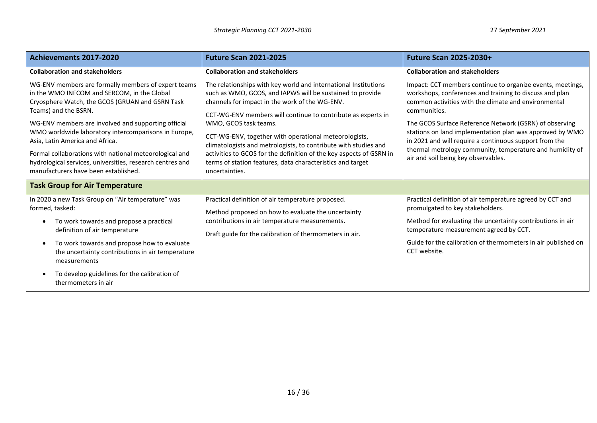| <b>Achievements 2017-2020</b>                                                                                                                                                                                                                                                                                                                                                                                                                                                                  | <b>Future Scan 2021-2025</b>                                                                                                                                                                                                                                                                                                                                                                                                                                                                                                                               | <b>Future Scan 2025-2030+</b>                                                                                                                                                                                                                                                                                                                                                                                                                                                    |  |
|------------------------------------------------------------------------------------------------------------------------------------------------------------------------------------------------------------------------------------------------------------------------------------------------------------------------------------------------------------------------------------------------------------------------------------------------------------------------------------------------|------------------------------------------------------------------------------------------------------------------------------------------------------------------------------------------------------------------------------------------------------------------------------------------------------------------------------------------------------------------------------------------------------------------------------------------------------------------------------------------------------------------------------------------------------------|----------------------------------------------------------------------------------------------------------------------------------------------------------------------------------------------------------------------------------------------------------------------------------------------------------------------------------------------------------------------------------------------------------------------------------------------------------------------------------|--|
| <b>Collaboration and stakeholders</b>                                                                                                                                                                                                                                                                                                                                                                                                                                                          | <b>Collaboration and stakeholders</b>                                                                                                                                                                                                                                                                                                                                                                                                                                                                                                                      | <b>Collaboration and stakeholders</b>                                                                                                                                                                                                                                                                                                                                                                                                                                            |  |
| WG-ENV members are formally members of expert teams<br>in the WMO INFCOM and SERCOM, in the Global<br>Cryosphere Watch, the GCOS (GRUAN and GSRN Task<br>Teams) and the BSRN.<br>WG-ENV members are involved and supporting official<br>WMO worldwide laboratory intercomparisons in Europe,<br>Asia, Latin America and Africa.<br>Formal collaborations with national meteorological and<br>hydrological services, universities, research centres and<br>manufacturers have been established. | The relationships with key world and international Institutions<br>such as WMO, GCOS, and IAPWS will be sustained to provide<br>channels for impact in the work of the WG-ENV.<br>CCT-WG-ENV members will continue to contribute as experts in<br>WMO, GCOS task teams.<br>CCT-WG-ENV, together with operational meteorologists,<br>climatologists and metrologists, to contribute with studies and<br>activities to GCOS for the definition of the key aspects of GSRN in<br>terms of station features, data characteristics and target<br>uncertainties. | Impact: CCT members continue to organize events, meetings,<br>workshops, conferences and training to discuss and plan<br>common activities with the climate and environmental<br>communities.<br>The GCOS Surface Reference Network (GSRN) of observing<br>stations on land implementation plan was approved by WMO<br>in 2021 and will require a continuous support from the<br>thermal metrology community, temperature and humidity of<br>air and soil being key observables. |  |
| <b>Task Group for Air Temperature</b>                                                                                                                                                                                                                                                                                                                                                                                                                                                          |                                                                                                                                                                                                                                                                                                                                                                                                                                                                                                                                                            |                                                                                                                                                                                                                                                                                                                                                                                                                                                                                  |  |
| In 2020 a new Task Group on "Air temperature" was<br>formed, tasked:<br>To work towards and propose a practical<br>$\bullet$<br>definition of air temperature<br>To work towards and propose how to evaluate<br>$\bullet$<br>the uncertainty contributions in air temperature<br>measurements<br>To develop guidelines for the calibration of<br>thermometers in air                                                                                                                           | Practical definition of air temperature proposed.<br>Method proposed on how to evaluate the uncertainty<br>contributions in air temperature measurements.<br>Draft guide for the calibration of thermometers in air.                                                                                                                                                                                                                                                                                                                                       | Practical definition of air temperature agreed by CCT and<br>promulgated to key stakeholders.<br>Method for evaluating the uncertainty contributions in air<br>temperature measurement agreed by CCT.<br>Guide for the calibration of thermometers in air published on<br>CCT website.                                                                                                                                                                                           |  |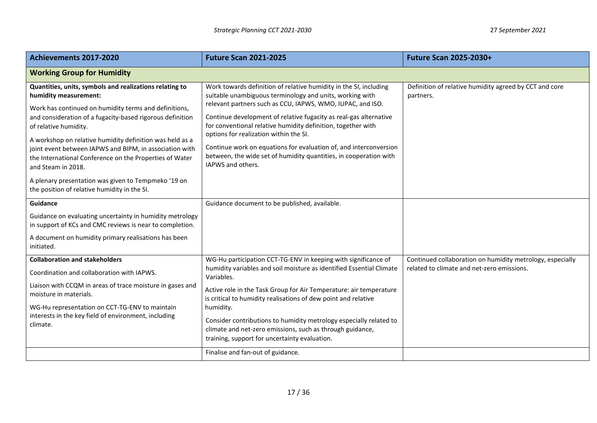| Achievements 2017-2020                                                                                                                                                                                                                                                                                                                                                                                                                                                                                                                         | <b>Future Scan 2021-2025</b>                                                                                                                                                                                                                                                                                                                                                                                                                                                                                                              | <b>Future Scan 2025-2030+</b>                                       |  |
|------------------------------------------------------------------------------------------------------------------------------------------------------------------------------------------------------------------------------------------------------------------------------------------------------------------------------------------------------------------------------------------------------------------------------------------------------------------------------------------------------------------------------------------------|-------------------------------------------------------------------------------------------------------------------------------------------------------------------------------------------------------------------------------------------------------------------------------------------------------------------------------------------------------------------------------------------------------------------------------------------------------------------------------------------------------------------------------------------|---------------------------------------------------------------------|--|
| <b>Working Group for Humidity</b>                                                                                                                                                                                                                                                                                                                                                                                                                                                                                                              |                                                                                                                                                                                                                                                                                                                                                                                                                                                                                                                                           |                                                                     |  |
| Quantities, units, symbols and realizations relating to<br>humidity measurement:<br>Work has continued on humidity terms and definitions,<br>and consideration of a fugacity-based rigorous definition<br>of relative humidity.<br>A workshop on relative humidity definition was held as a<br>joint event between IAPWS and BIPM, in association with<br>the International Conference on the Properties of Water<br>and Steam in 2018.<br>A plenary presentation was given to Tempmeko '19 on<br>the position of relative humidity in the SI. | Work towards definition of relative humidity in the SI, including<br>suitable unambiguous terminology and units, working with<br>relevant partners such as CCU, IAPWS, WMO, IUPAC, and ISO.<br>Continue development of relative fugacity as real-gas alternative<br>for conventional relative humidity definition, together with<br>options for realization within the SI.<br>Continue work on equations for evaluation of, and interconversion<br>between, the wide set of humidity quantities, in cooperation with<br>IAPWS and others. | Definition of relative humidity agreed by CCT and core<br>partners. |  |
| <b>Guidance</b><br>Guidance on evaluating uncertainty in humidity metrology<br>in support of KCs and CMC reviews is near to completion.                                                                                                                                                                                                                                                                                                                                                                                                        | Guidance document to be published, available.                                                                                                                                                                                                                                                                                                                                                                                                                                                                                             |                                                                     |  |
| A document on humidity primary realisations has been<br>initiated.                                                                                                                                                                                                                                                                                                                                                                                                                                                                             |                                                                                                                                                                                                                                                                                                                                                                                                                                                                                                                                           |                                                                     |  |
| <b>Collaboration and stakeholders</b>                                                                                                                                                                                                                                                                                                                                                                                                                                                                                                          | WG-Hu participation CCT-TG-ENV in keeping with significance of                                                                                                                                                                                                                                                                                                                                                                                                                                                                            | Continued collaboration on humidity metrology, especially           |  |
| Coordination and collaboration with IAPWS.                                                                                                                                                                                                                                                                                                                                                                                                                                                                                                     | humidity variables and soil moisture as identified Essential Climate<br>Variables.                                                                                                                                                                                                                                                                                                                                                                                                                                                        | related to climate and net-zero emissions.                          |  |
| Liaison with CCQM in areas of trace moisture in gases and<br>moisture in materials.                                                                                                                                                                                                                                                                                                                                                                                                                                                            | Active role in the Task Group for Air Temperature: air temperature<br>is critical to humidity realisations of dew point and relative                                                                                                                                                                                                                                                                                                                                                                                                      |                                                                     |  |
| WG-Hu representation on CCT-TG-ENV to maintain<br>interests in the key field of environment, including<br>climate.                                                                                                                                                                                                                                                                                                                                                                                                                             | humidity.<br>Consider contributions to humidity metrology especially related to<br>climate and net-zero emissions, such as through guidance,<br>training, support for uncertainty evaluation.                                                                                                                                                                                                                                                                                                                                             |                                                                     |  |
|                                                                                                                                                                                                                                                                                                                                                                                                                                                                                                                                                | Finalise and fan-out of guidance.                                                                                                                                                                                                                                                                                                                                                                                                                                                                                                         |                                                                     |  |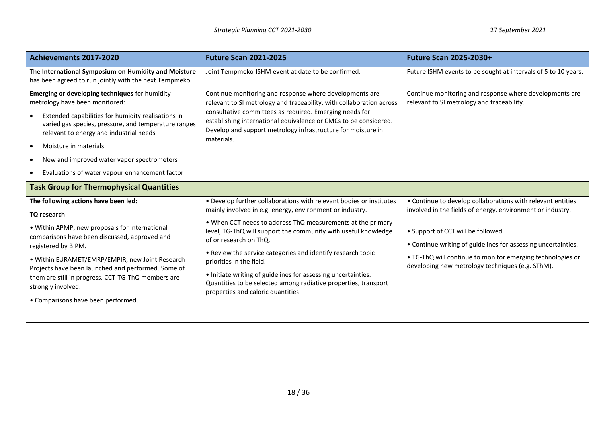| Achievements 2017-2020                                                                                                                                                                                                                                                                                                                                                                                   | <b>Future Scan 2021-2025</b>                                                                                                                                                                                                                                                                                                                                                                                                                                                                                                                                   | <b>Future Scan 2025-2030+</b>                                                                                                                                                                                                                                                                                                                      |
|----------------------------------------------------------------------------------------------------------------------------------------------------------------------------------------------------------------------------------------------------------------------------------------------------------------------------------------------------------------------------------------------------------|----------------------------------------------------------------------------------------------------------------------------------------------------------------------------------------------------------------------------------------------------------------------------------------------------------------------------------------------------------------------------------------------------------------------------------------------------------------------------------------------------------------------------------------------------------------|----------------------------------------------------------------------------------------------------------------------------------------------------------------------------------------------------------------------------------------------------------------------------------------------------------------------------------------------------|
| The International Symposium on Humidity and Moisture<br>has been agreed to run jointly with the next Tempmeko.                                                                                                                                                                                                                                                                                           | Joint Tempmeko-ISHM event at date to be confirmed.                                                                                                                                                                                                                                                                                                                                                                                                                                                                                                             | Future ISHM events to be sought at intervals of 5 to 10 years.                                                                                                                                                                                                                                                                                     |
| Emerging or developing techniques for humidity<br>metrology have been monitored:<br>Extended capabilities for humidity realisations in<br>varied gas species, pressure, and temperature ranges<br>relevant to energy and industrial needs<br>Moisture in materials<br>$\bullet$<br>New and improved water vapor spectrometers<br>Evaluations of water vapour enhancement factor                          | Continue monitoring and response where developments are<br>relevant to SI metrology and traceability, with collaboration across<br>consultative committees as required. Emerging needs for<br>establishing international equivalence or CMCs to be considered.<br>Develop and support metrology infrastructure for moisture in<br>materials.                                                                                                                                                                                                                   | Continue monitoring and response where developments are<br>relevant to SI metrology and traceability.                                                                                                                                                                                                                                              |
| <b>Task Group for Thermophysical Quantities</b>                                                                                                                                                                                                                                                                                                                                                          |                                                                                                                                                                                                                                                                                                                                                                                                                                                                                                                                                                |                                                                                                                                                                                                                                                                                                                                                    |
| The following actions have been led:<br>TQ research<br>• Within APMP, new proposals for international<br>comparisons have been discussed, approved and<br>registered by BIPM.<br>• Within EURAMET/EMRP/EMPIR, new Joint Research<br>Projects have been launched and performed. Some of<br>them are still in progress. CCT-TG-ThQ members are<br>strongly involved.<br>• Comparisons have been performed. | • Develop further collaborations with relevant bodies or institutes<br>mainly involved in e.g. energy, environment or industry.<br>. When CCT needs to address ThQ measurements at the primary<br>level, TG-ThQ will support the community with useful knowledge<br>of or research on ThQ.<br>• Review the service categories and identify research topic<br>priorities in the field.<br>• Initiate writing of guidelines for assessing uncertainties.<br>Quantities to be selected among radiative properties, transport<br>properties and caloric quantities | • Continue to develop collaborations with relevant entities<br>involved in the fields of energy, environment or industry.<br>• Support of CCT will be followed.<br>• Continue writing of guidelines for assessing uncertainties.<br>. TG-ThQ will continue to monitor emerging technologies or<br>developing new metrology techniques (e.g. SThM). |
|                                                                                                                                                                                                                                                                                                                                                                                                          |                                                                                                                                                                                                                                                                                                                                                                                                                                                                                                                                                                |                                                                                                                                                                                                                                                                                                                                                    |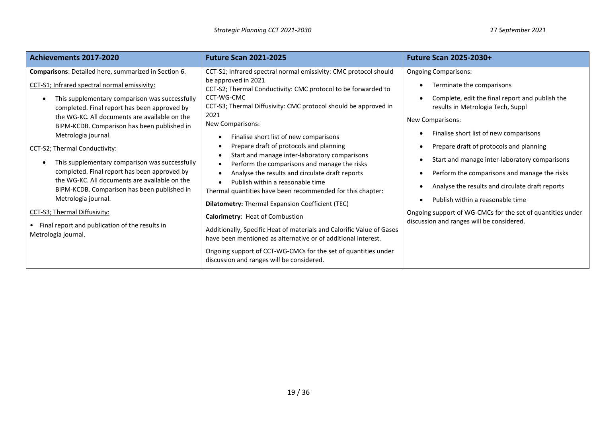| Achievements 2017-2020                                                                                                                                                                                                                                                                                                                                                                                                                                                                                                                                                                                                                                                                           | <b>Future Scan 2021-2025</b>                                                                                                                                                                                                                                                                                                                                                                                                                                                                                                                                                                                                                                                                                                                                                                                                                                                                                                                                            | <b>Future Scan 2025-2030+</b>                                                                                                                                                                                                                                                                                                                                                                                                                                                                                                                                |
|--------------------------------------------------------------------------------------------------------------------------------------------------------------------------------------------------------------------------------------------------------------------------------------------------------------------------------------------------------------------------------------------------------------------------------------------------------------------------------------------------------------------------------------------------------------------------------------------------------------------------------------------------------------------------------------------------|-------------------------------------------------------------------------------------------------------------------------------------------------------------------------------------------------------------------------------------------------------------------------------------------------------------------------------------------------------------------------------------------------------------------------------------------------------------------------------------------------------------------------------------------------------------------------------------------------------------------------------------------------------------------------------------------------------------------------------------------------------------------------------------------------------------------------------------------------------------------------------------------------------------------------------------------------------------------------|--------------------------------------------------------------------------------------------------------------------------------------------------------------------------------------------------------------------------------------------------------------------------------------------------------------------------------------------------------------------------------------------------------------------------------------------------------------------------------------------------------------------------------------------------------------|
| Comparisons: Detailed here, summarized in Section 6.<br>CCT-S1; Infrared spectral normal emissivity:<br>This supplementary comparison was successfully<br>completed. Final report has been approved by<br>the WG-KC. All documents are available on the<br>BIPM-KCDB. Comparison has been published in<br>Metrologia journal.<br>CCT-S2; Thermal Conductivity:<br>This supplementary comparison was successfully<br>completed. Final report has been approved by<br>the WG-KC. All documents are available on the<br>BIPM-KCDB. Comparison has been published in<br>Metrologia journal.<br>CCT-S3; Thermal Diffusivity:<br>Final report and publication of the results in<br>Metrologia journal. | CCT-S1; Infrared spectral normal emissivity: CMC protocol should<br>be approved in 2021<br>CCT-S2; Thermal Conductivity: CMC protocol to be forwarded to<br>CCT-WG-CMC<br>CCT-S3; Thermal Diffusivity: CMC protocol should be approved in<br>2021<br>New Comparisons:<br>Finalise short list of new comparisons<br>Prepare draft of protocols and planning<br>Start and manage inter-laboratory comparisons<br>Perform the comparisons and manage the risks<br>Analyse the results and circulate draft reports<br>Publish within a reasonable time<br>Thermal quantities have been recommended for this chapter:<br><b>Dilatometry:</b> Thermal Expansion Coefficient (TEC)<br>Calorimetry: Heat of Combustion<br>Additionally, Specific Heat of materials and Calorific Value of Gases<br>have been mentioned as alternative or of additional interest.<br>Ongoing support of CCT-WG-CMCs for the set of quantities under<br>discussion and ranges will be considered. | <b>Ongoing Comparisons:</b><br>Terminate the comparisons<br>Complete, edit the final report and publish the<br>results in Metrologia Tech, Suppl<br>New Comparisons:<br>Finalise short list of new comparisons<br>Prepare draft of protocols and planning<br>Start and manage inter-laboratory comparisons<br>Perform the comparisons and manage the risks<br>Analyse the results and circulate draft reports<br>Publish within a reasonable time<br>Ongoing support of WG-CMCs for the set of quantities under<br>discussion and ranges will be considered. |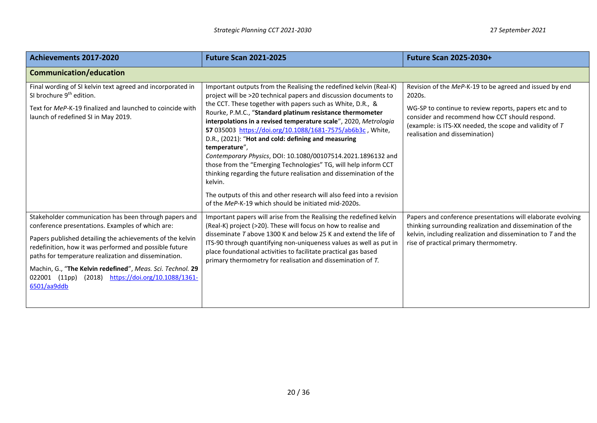| Achievements 2017-2020                                                                                                                                                                                                                                                                                                                                                                                                         | <b>Future Scan 2021-2025</b>                                                                                                                                                                                                                                                                                                                                                                                                                                                                                                                                                                                                                                                                                                                                                                                                     | <b>Future Scan 2025-2030+</b>                                                                                                                                                                                                                                              |
|--------------------------------------------------------------------------------------------------------------------------------------------------------------------------------------------------------------------------------------------------------------------------------------------------------------------------------------------------------------------------------------------------------------------------------|----------------------------------------------------------------------------------------------------------------------------------------------------------------------------------------------------------------------------------------------------------------------------------------------------------------------------------------------------------------------------------------------------------------------------------------------------------------------------------------------------------------------------------------------------------------------------------------------------------------------------------------------------------------------------------------------------------------------------------------------------------------------------------------------------------------------------------|----------------------------------------------------------------------------------------------------------------------------------------------------------------------------------------------------------------------------------------------------------------------------|
| Communication/education                                                                                                                                                                                                                                                                                                                                                                                                        |                                                                                                                                                                                                                                                                                                                                                                                                                                                                                                                                                                                                                                                                                                                                                                                                                                  |                                                                                                                                                                                                                                                                            |
| Final wording of SI kelvin text agreed and incorporated in<br>SI brochure 9 <sup>th</sup> edition.<br>Text for MeP-K-19 finalized and launched to coincide with<br>launch of redefined SI in May 2019.                                                                                                                                                                                                                         | Important outputs from the Realising the redefined kelvin (Real-K)<br>project will be >20 technical papers and discussion documents to<br>the CCT. These together with papers such as White, D.R., &<br>Rourke, P.M.C., "Standard platinum resistance thermometer<br>interpolations in a revised temperature scale", 2020, Metrologia<br>57 035003 https://doi.org/10.1088/1681-7575/ab6b3c, White,<br>D.R., (2021): "Hot and cold: defining and measuring<br>temperature",<br>Contemporary Physics, DOI: 10.1080/00107514.2021.1896132 and<br>those from the "Emerging Technologies" TG, will help inform CCT<br>thinking regarding the future realisation and dissemination of the<br>kelvin.<br>The outputs of this and other research will also feed into a revision<br>of the MeP-K-19 which should be initiated mid-2020s. | Revision of the MeP-K-19 to be agreed and issued by end<br>2020s.<br>WG-SP to continue to review reports, papers etc and to<br>consider and recommend how CCT should respond.<br>(example: is ITS-XX needed, the scope and validity of T<br>realisation and dissemination) |
| Stakeholder communication has been through papers and<br>conference presentations. Examples of which are:<br>Papers published detailing the achievements of the kelvin<br>redefinition, how it was performed and possible future<br>paths for temperature realization and dissemination.<br>Machin, G., "The Kelvin redefined", Meas. Sci. Technol. 29<br>022001 (11pp)<br>(2018) https://doi.org/10.1088/1361-<br>6501/aa9ddb | Important papers will arise from the Realising the redefined kelvin<br>(Real-K) project (>20). These will focus on how to realise and<br>disseminate T above 1300 K and below 25 K and extend the life of<br>ITS-90 through quantifying non-uniqueness values as well as put in<br>place foundational activities to facilitate practical gas based<br>primary thermometry for realisation and dissemination of T.                                                                                                                                                                                                                                                                                                                                                                                                                | Papers and conference presentations will elaborate evolving<br>thinking surrounding realization and dissemination of the<br>kelvin, including realization and dissemination to $T$ and the<br>rise of practical primary thermometry.                                       |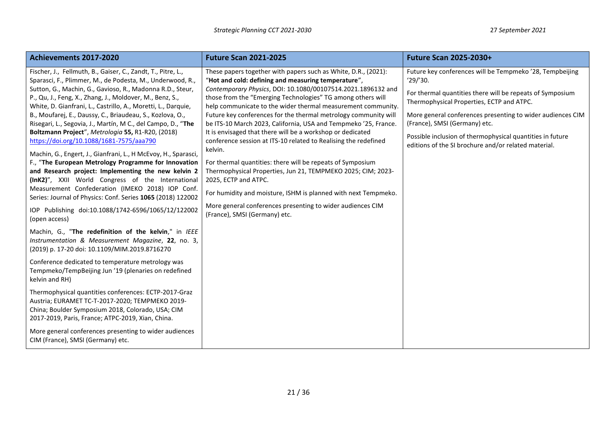| Achievements 2017-2020                                                                                                                                                                                                                                                                                                                                                                                                                                                                                                                                                                                                                                                                                                                                                                                                                                                                                                                                                                                                                      | <b>Future Scan 2021-2025</b>                                                                                                                                                                                                                                                                                                                                                                                                                                                                                                                                                                                                                                                                                                                                                                                                                                                                                                  | <b>Future Scan 2025-2030+</b>                                                                                                                                                                                                                                                                                                                                                                      |
|---------------------------------------------------------------------------------------------------------------------------------------------------------------------------------------------------------------------------------------------------------------------------------------------------------------------------------------------------------------------------------------------------------------------------------------------------------------------------------------------------------------------------------------------------------------------------------------------------------------------------------------------------------------------------------------------------------------------------------------------------------------------------------------------------------------------------------------------------------------------------------------------------------------------------------------------------------------------------------------------------------------------------------------------|-------------------------------------------------------------------------------------------------------------------------------------------------------------------------------------------------------------------------------------------------------------------------------------------------------------------------------------------------------------------------------------------------------------------------------------------------------------------------------------------------------------------------------------------------------------------------------------------------------------------------------------------------------------------------------------------------------------------------------------------------------------------------------------------------------------------------------------------------------------------------------------------------------------------------------|----------------------------------------------------------------------------------------------------------------------------------------------------------------------------------------------------------------------------------------------------------------------------------------------------------------------------------------------------------------------------------------------------|
| Fischer, J., Fellmuth, B., Gaiser, C., Zandt, T., Pitre, L.,<br>Sparasci, F., Plimmer, M., de Podesta, M., Underwood, R.,<br>Sutton, G., Machin, G., Gavioso, R., Madonna R.D., Steur,<br>P., Qu, J., Feng, X., Zhang, J., Moldover, M., Benz, S.,<br>White, D. Gianfrani, L., Castrillo, A., Moretti, L., Darquie,<br>B., Moufarej, E., Daussy, C., Briaudeau, S., Kozlova, O.,<br>Risegari, L., Segovia, J., Martín, M C., del Campo, D., "The<br>Boltzmann Project", Metrologia 55, R1-R20, (2018)<br>https://doi.org/10.1088/1681-7575/aaa790<br>Machin, G., Engert, J., Gianfrani, L., H McEvoy, H., Sparasci,<br>F., "The European Metrology Programme for Innovation<br>and Research project: Implementing the new kelvin 2<br>(InK2)", XXII World Congress of the International<br>Measurement Confederation (IMEKO 2018) IOP Conf.<br>Series: Journal of Physics: Conf. Series 1065 (2018) 122002<br>IOP Publishing doi:10.1088/1742-6596/1065/12/122002<br>(open access)<br>Machin, G., "The redefinition of the kelvin," in IEEE | These papers together with papers such as White, D.R., (2021):<br>"Hot and cold: defining and measuring temperature",<br>Contemporary Physics, DOI: 10.1080/00107514.2021.1896132 and<br>those from the "Emerging Technologies" TG among others will<br>help communicate to the wider thermal measurement community.<br>Future key conferences for the thermal metrology community will<br>be ITS-10 March 2023, California, USA and Tempmeko '25, France.<br>It is envisaged that there will be a workshop or dedicated<br>conference session at ITS-10 related to Realising the redefined<br>kelvin.<br>For thermal quantities: there will be repeats of Symposium<br>Thermophysical Properties, Jun 21, TEMPMEKO 2025; CIM; 2023-<br>2025, ECTP and ATPC.<br>For humidity and moisture, ISHM is planned with next Tempmeko.<br>More general conferences presenting to wider audiences CIM<br>(France), SMSI (Germany) etc. | Future key conferences will be Tempmeko '28, Tempbeijing<br>'29''30.<br>For thermal quantities there will be repeats of Symposium<br>Thermophysical Properties, ECTP and ATPC.<br>More general conferences presenting to wider audiences CIM<br>(France), SMSI (Germany) etc.<br>Possible inclusion of thermophysical quantities in future<br>editions of the SI brochure and/or related material. |
| Instrumentation & Measurement Magazine, 22, no. 3,<br>(2019) p. 17-20 doi: 10.1109/MIM.2019.8716270                                                                                                                                                                                                                                                                                                                                                                                                                                                                                                                                                                                                                                                                                                                                                                                                                                                                                                                                         |                                                                                                                                                                                                                                                                                                                                                                                                                                                                                                                                                                                                                                                                                                                                                                                                                                                                                                                               |                                                                                                                                                                                                                                                                                                                                                                                                    |
| Conference dedicated to temperature metrology was<br>Tempmeko/TempBeijing Jun '19 (plenaries on redefined<br>kelvin and RH)                                                                                                                                                                                                                                                                                                                                                                                                                                                                                                                                                                                                                                                                                                                                                                                                                                                                                                                 |                                                                                                                                                                                                                                                                                                                                                                                                                                                                                                                                                                                                                                                                                                                                                                                                                                                                                                                               |                                                                                                                                                                                                                                                                                                                                                                                                    |
| Thermophysical quantities conferences: ECTP-2017-Graz<br>Austria; EURAMET TC-T-2017-2020; TEMPMEKO 2019-<br>China; Boulder Symposium 2018, Colorado, USA; CIM<br>2017-2019, Paris, France; ATPC-2019, Xian, China.                                                                                                                                                                                                                                                                                                                                                                                                                                                                                                                                                                                                                                                                                                                                                                                                                          |                                                                                                                                                                                                                                                                                                                                                                                                                                                                                                                                                                                                                                                                                                                                                                                                                                                                                                                               |                                                                                                                                                                                                                                                                                                                                                                                                    |
| More general conferences presenting to wider audiences<br>CIM (France), SMSI (Germany) etc.                                                                                                                                                                                                                                                                                                                                                                                                                                                                                                                                                                                                                                                                                                                                                                                                                                                                                                                                                 |                                                                                                                                                                                                                                                                                                                                                                                                                                                                                                                                                                                                                                                                                                                                                                                                                                                                                                                               |                                                                                                                                                                                                                                                                                                                                                                                                    |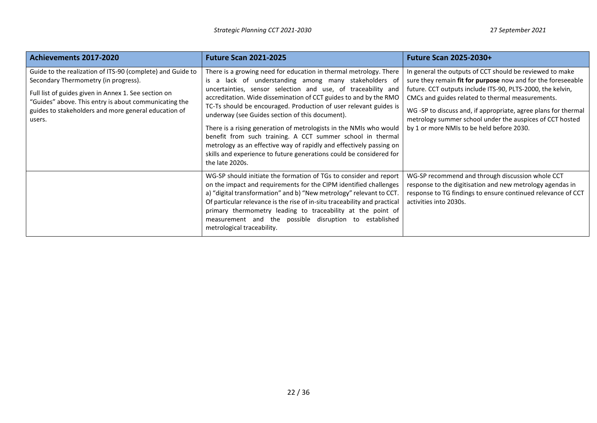| Achievements 2017-2020                                                                                                                                                                                                                                                                | <b>Future Scan 2021-2025</b>                                                                                                                                                                                                                                                                                                                                                                                                                                                                                                                                                                                                                                                                 | <b>Future Scan 2025-2030+</b>                                                                                                                                                                                                                                                                                                                                                                                         |
|---------------------------------------------------------------------------------------------------------------------------------------------------------------------------------------------------------------------------------------------------------------------------------------|----------------------------------------------------------------------------------------------------------------------------------------------------------------------------------------------------------------------------------------------------------------------------------------------------------------------------------------------------------------------------------------------------------------------------------------------------------------------------------------------------------------------------------------------------------------------------------------------------------------------------------------------------------------------------------------------|-----------------------------------------------------------------------------------------------------------------------------------------------------------------------------------------------------------------------------------------------------------------------------------------------------------------------------------------------------------------------------------------------------------------------|
| Guide to the realization of ITS-90 (complete) and Guide to<br>Secondary Thermometry (in progress).<br>Full list of guides given in Annex 1. See section on<br>"Guides" above. This entry is about communicating the<br>guides to stakeholders and more general education of<br>users. | There is a growing need for education in thermal metrology. There<br>is a lack of understanding among many stakeholders of<br>uncertainties, sensor selection and use, of traceability and<br>accreditation. Wide dissemination of CCT guides to and by the RMO<br>TC-Ts should be encouraged. Production of user relevant guides is<br>underway (see Guides section of this document).<br>There is a rising generation of metrologists in the NMIs who would<br>benefit from such training. A CCT summer school in thermal<br>metrology as an effective way of rapidly and effectively passing on<br>skills and experience to future generations could be considered for<br>the late 2020s. | In general the outputs of CCT should be reviewed to make<br>sure they remain fit for purpose now and for the foreseeable<br>future. CCT outputs include ITS-90, PLTS-2000, the kelvin,<br>CMCs and guides related to thermal measurements.<br>WG -SP to discuss and, if appropriate, agree plans for thermal<br>metrology summer school under the auspices of CCT hosted<br>by 1 or more NMIs to be held before 2030. |
|                                                                                                                                                                                                                                                                                       | WG-SP should initiate the formation of TGs to consider and report<br>on the impact and requirements for the CIPM identified challenges<br>a) "digital transformation" and b) "New metrology" relevant to CCT.<br>Of particular relevance is the rise of in-situ traceability and practical<br>primary thermometry leading to traceability at the point of<br>measurement and the possible disruption to established<br>metrological traceability.                                                                                                                                                                                                                                            | WG-SP recommend and through discussion whole CCT<br>response to the digitisation and new metrology agendas in<br>response to TG findings to ensure continued relevance of CCT<br>activities into 2030s.                                                                                                                                                                                                               |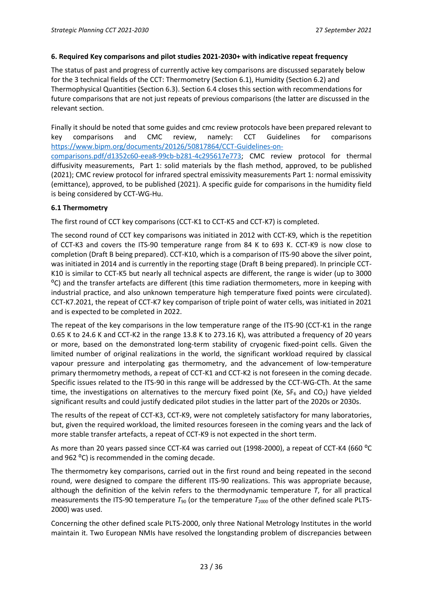#### **6. Required Key comparisons and pilot studies 2021-2030+ with indicative repeat frequency**

The status of past and progress of currently active key comparisons are discussed separately below for the 3 technical fields of the CCT: Thermometry (Section 6.1), Humidity (Section 6.2) and Thermophysical Quantities (Section 6.3). Section 6.4 closes this section with recommendations for future comparisons that are not just repeats of previous comparisons (the latter are discussed in the relevant section.

Finally it should be noted that some guides and cmc review protocols have been prepared relevant to key comparisons and CMC review, namely: CCT Guidelines for comparisons [https://www.bipm.org/documents/20126/50817864/CCT-Guidelines-on](https://www.bipm.org/documents/20126/50817864/CCT-Guidelines-on-comparisons.pdf/d1352c60-eea8-99cb-b281-4c295617e773)[comparisons.pdf/d1352c60-eea8-99cb-b281-4c295617e773;](https://www.bipm.org/documents/20126/50817864/CCT-Guidelines-on-comparisons.pdf/d1352c60-eea8-99cb-b281-4c295617e773) CMC review protocol for thermal diffusivity measurements, Part 1: solid materials by the flash method, approved, to be published (2021); CMC review protocol for infrared spectral emissivity measurements Part 1: normal emissivity (emittance), approved, to be published (2021). A specific guide for comparisons in the humidity field is being considered by CCT-WG-Hu.

#### **6.1 Thermometry**

The first round of CCT key comparisons (CCT-K1 to CCT-K5 and CCT-K7) is completed.

The second round of CCT key comparisons was initiated in 2012 with CCT-K9, which is the repetition of CCT-K3 and covers the ITS-90 temperature range from 84 K to 693 K. CCT-K9 is now close to completion (Draft B being prepared). CCT-K10, which is a comparison of ITS-90 above the silver point, was initiated in 2014 and is currently in the reporting stage (Draft B being prepared). In principle CCT-K10 is similar to CCT-K5 but nearly all technical aspects are different, the range is wider (up to 3000 ⁰C) and the transfer artefacts are different (this time radiation thermometers, more in keeping with industrial practice, and also unknown temperature high temperature fixed points were circulated). CCT-K7.2021, the repeat of CCT-K7 key comparison of triple point of water cells, was initiated in 2021 and is expected to be completed in 2022.

The repeat of the key comparisons in the low temperature range of the ITS-90 (CCT-K1 in the range 0.65 K to 24.6 K and CCT-K2 in the range 13.8 K to 273.16 K), was attributed a frequency of 20 years or more, based on the demonstrated long-term stability of cryogenic fixed-point cells. Given the limited number of original realizations in the world, the significant workload required by classical vapour pressure and interpolating gas thermometry, and the advancement of low-temperature primary thermometry methods, a repeat of CCT-K1 and CCT-K2 is not foreseen in the coming decade. Specific issues related to the ITS-90 in this range will be addressed by the CCT-WG-CTh. At the same time, the investigations on alternatives to the mercury fixed point (Xe,  $SF_6$  and  $CO_2$ ) have yielded significant results and could justify dedicated pilot studies in the latter part of the 2020s or 2030s.

The results of the repeat of CCT-K3, CCT-K9, were not completely satisfactory for many laboratories, but, given the required workload, the limited resources foreseen in the coming years and the lack of more stable transfer artefacts, a repeat of CCT-K9 is not expected in the short term.

As more than 20 years passed since CCT-K4 was carried out (1998-2000), a repeat of CCT-K4 (660 °C and 962 °C) is recommended in the coming decade.

The thermometry key comparisons, carried out in the first round and being repeated in the second round, were designed to compare the different ITS-90 realizations. This was appropriate because, although the definition of the kelvin refers to the thermodynamic temperature *T*, for all practical measurements the ITS-90 temperature  $T_{90}$  (or the temperature  $T_{2000}$  of the other defined scale PLTS-2000) was used.

Concerning the other defined scale PLTS-2000, only three National Metrology Institutes in the world maintain it. Two European NMIs have resolved the longstanding problem of discrepancies between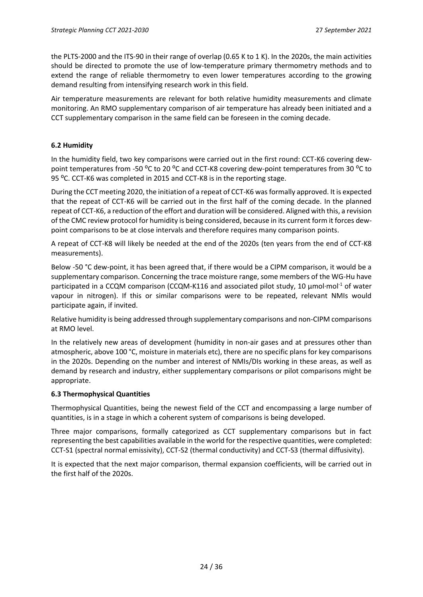the PLTS-2000 and the ITS-90 in their range of overlap (0.65 K to 1 K). In the 2020s, the main activities should be directed to promote the use of low-temperature primary thermometry methods and to extend the range of reliable thermometry to even lower temperatures according to the growing demand resulting from intensifying research work in this field.

Air temperature measurements are relevant for both relative humidity measurements and climate monitoring. An RMO supplementary comparison of air temperature has already been initiated and a CCT supplementary comparison in the same field can be foreseen in the coming decade.

### **6.2 Humidity**

In the humidity field, two key comparisons were carried out in the first round: CCT-K6 covering dewpoint temperatures from -50 <sup>o</sup>C to 20 <sup>o</sup>C and CCT-K8 covering dew-point temperatures from 30 <sup>o</sup>C to 95 °C. CCT-K6 was completed in 2015 and CCT-K8 is in the reporting stage.

During the CCT meeting 2020, the initiation of a repeat of CCT-K6 was formally approved. It is expected that the repeat of CCT-K6 will be carried out in the first half of the coming decade. In the planned repeat of CCT-K6, a reduction of the effort and duration will be considered. Aligned with this, a revision of the CMC review protocol for humidity is being considered, because in its current form it forces dewpoint comparisons to be at close intervals and therefore requires many comparison points.

A repeat of CCT-K8 will likely be needed at the end of the 2020s (ten years from the end of CCT-K8 measurements).

Below -50 °C dew-point, it has been agreed that, if there would be a CIPM comparison, it would be a supplementary comparison. Concerning the trace moisture range, some members of the WG-Hu have participated in a CCQM comparison (CCQM-K116 and associated pilot study, 10 μmol∙mol-1 of water vapour in nitrogen). If this or similar comparisons were to be repeated, relevant NMIs would participate again, if invited.

Relative humidity is being addressed through supplementary comparisons and non-CIPM comparisons at RMO level.

In the relatively new areas of development (humidity in non-air gases and at pressures other than atmospheric, above 100 °C, moisture in materials etc), there are no specific plans for key comparisons in the 2020s. Depending on the number and interest of NMIs/DIs working in these areas, as well as demand by research and industry, either supplementary comparisons or pilot comparisons might be appropriate.

#### **6.3 Thermophysical Quantities**

Thermophysical Quantities, being the newest field of the CCT and encompassing a large number of quantities, is in a stage in which a coherent system of comparisons is being developed.

Three major comparisons, formally categorized as CCT supplementary comparisons but in fact representing the best capabilities available in the world for the respective quantities, were completed: CCT-S1 (spectral normal emissivity), CCT-S2 (thermal conductivity) and CCT-S3 (thermal diffusivity).

It is expected that the next major comparison, thermal expansion coefficients, will be carried out in the first half of the 2020s.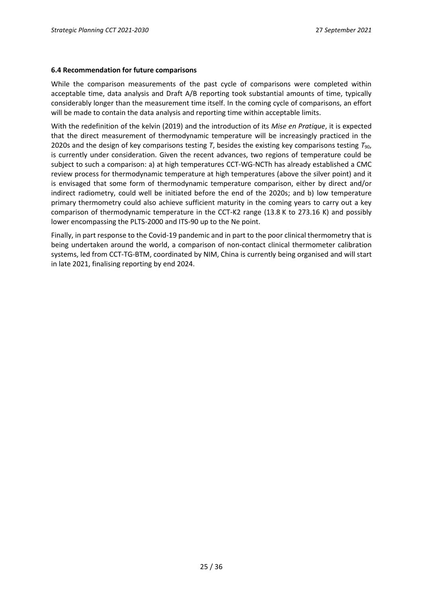#### **6.4 Recommendation for future comparisons**

While the comparison measurements of the past cycle of comparisons were completed within acceptable time, data analysis and Draft A/B reporting took substantial amounts of time, typically considerably longer than the measurement time itself. In the coming cycle of comparisons, an effort will be made to contain the data analysis and reporting time within acceptable limits.

With the redefinition of the kelvin (2019) and the introduction of its *Mise en Pratique*, it is expected that the direct measurement of thermodynamic temperature will be increasingly practiced in the 2020s and the design of key comparisons testing *T*, besides the existing key comparisons testing *T*90, is currently under consideration. Given the recent advances, two regions of temperature could be subject to such a comparison: a) at high temperatures CCT-WG-NCTh has already established a CMC review process for thermodynamic temperature at high temperatures (above the silver point) and it is envisaged that some form of thermodynamic temperature comparison, either by direct and/or indirect radiometry, could well be initiated before the end of the 2020s; and b) low temperature primary thermometry could also achieve sufficient maturity in the coming years to carry out a key comparison of thermodynamic temperature in the CCT-K2 range (13.8 K to 273.16 K) and possibly lower encompassing the PLTS-2000 and ITS-90 up to the Ne point.

Finally, in part response to the Covid-19 pandemic and in part to the poor clinical thermometry that is being undertaken around the world, a comparison of non-contact clinical thermometer calibration systems, led from CCT-TG-BTM, coordinated by NIM, China is currently being organised and will start in late 2021, finalising reporting by end 2024.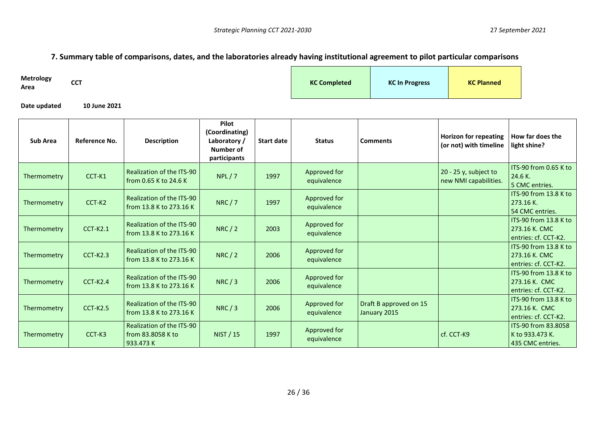# **7. Summary table of comparisons, dates, and the laboratories already having institutional agreement to pilot particular comparisons**

| <b>Metrology</b><br>Area | <b>CCT</b> | <b>KC Completed</b> | <b>KC In Progress</b> | <b>KC Planned</b> |  |
|--------------------------|------------|---------------------|-----------------------|-------------------|--|
|                          |            |                     |                       |                   |  |

**Date updated 10 June 2021**

| <b>Sub Area</b> | Reference No.   | <b>Description</b>                                          | Pilot<br>(Coordinating)<br>Laboratory/<br>Number of<br>participants | <b>Start date</b> | <b>Status</b>               | <b>Comments</b>                        | <b>Horizon for repeating</b><br>(or not) with timeline | How far does the<br>light shine?                               |
|-----------------|-----------------|-------------------------------------------------------------|---------------------------------------------------------------------|-------------------|-----------------------------|----------------------------------------|--------------------------------------------------------|----------------------------------------------------------------|
| Thermometry     | CCT-K1          | Realization of the ITS-90<br>from 0.65 K to 24.6 K          | NPL/7                                                               | 1997              | Approved for<br>equivalence |                                        | 20 - 25 y, subject to<br>new NMI capabilities.         | ITS-90 from 0.65 K to<br>24.6 K.<br>5 CMC entries.             |
| Thermometry     | CCT-K2          | Realization of the ITS-90<br>from 13.8 K to 273.16 K        | NRC/7                                                               | 1997              | Approved for<br>equivalence |                                        |                                                        | ITS-90 from 13.8 K to<br>273.16 K.<br>54 CMC entries.          |
| Thermometry     | <b>CCT-K2.1</b> | Realization of the ITS-90<br>from 13.8 K to 273.16 K        | NRC/2                                                               | 2003              | Approved for<br>equivalence |                                        |                                                        | ITS-90 from 13.8 K to<br>273.16 K. CMC<br>entries: cf. CCT-K2. |
| Thermometry     | <b>CCT-K2.3</b> | Realization of the ITS-90<br>from 13.8 K to 273.16 K        | NRC/2                                                               | 2006              | Approved for<br>equivalence |                                        |                                                        | ITS-90 from 13.8 K to<br>273.16 K. CMC<br>entries: cf. CCT-K2. |
| Thermometry     | $CCT-K2.4$      | Realization of the ITS-90<br>from 13.8 K to 273.16 K        | NRC/3                                                               | 2006              | Approved for<br>equivalence |                                        |                                                        | ITS-90 from 13.8 K to<br>273.16 K. CMC<br>entries: cf. CCT-K2. |
| Thermometry     | $CCT-K2.5$      | Realization of the ITS-90<br>from 13.8 K to 273.16 K        | NRC/3                                                               | 2006              | Approved for<br>equivalence | Draft B approved on 15<br>January 2015 |                                                        | ITS-90 from 13.8 K to<br>273.16 K. CMC<br>entries: cf. CCT-K2. |
| Thermometry     | CCT-K3          | Realization of the ITS-90<br>from 83.8058 K to<br>933.473 K | NIST / 15                                                           | 1997              | Approved for<br>equivalence |                                        | cf. CCT-K9                                             | ITS-90 from 83,8058<br>K to 933.473 K.<br>435 CMC entries.     |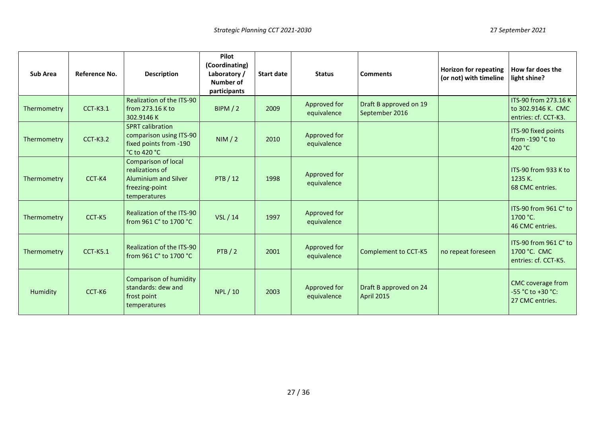| <b>Sub Area</b> | Reference No.   | <b>Description</b>                                                                                             | Pilot<br>(Coordinating)<br>Laboratory/<br>Number of<br>participants | <b>Start date</b> | <b>Status</b>               | <b>Comments</b>                             | <b>Horizon for repeating</b><br>(or not) with timeline | How far does the<br>light shine?                                   |
|-----------------|-----------------|----------------------------------------------------------------------------------------------------------------|---------------------------------------------------------------------|-------------------|-----------------------------|---------------------------------------------|--------------------------------------------------------|--------------------------------------------------------------------|
| Thermometry     | $CCT-K3.1$      | Realization of the ITS-90<br>from 273.16 K to<br>302.9146K                                                     | BIPM/2                                                              | 2009              | Approved for<br>equivalence | Draft B approved on 19<br>September 2016    |                                                        | ITS-90 from 273.16 K<br>to 302.9146 K. CMC<br>entries: cf. CCT-K3. |
| Thermometry     | <b>CCT-K3.2</b> | <b>SPRT</b> calibration<br>comparison using ITS-90<br>fixed points from -190<br>°C to 420 °C                   | NIM/2                                                               | 2010              | Approved for<br>equivalence |                                             |                                                        | ITS-90 fixed points<br>from $-190$ °C to<br>420 °C                 |
| Thermometry     | CCT-K4          | <b>Comparison of local</b><br>realizations of<br><b>Aluminium and Silver</b><br>freezing-point<br>temperatures | <b>PTB</b> / 12                                                     | 1998              | Approved for<br>equivalence |                                             |                                                        | ITS-90 from 933 K to<br>1235 K.<br>68 CMC entries.                 |
| Thermometry     | CCT-K5          | Realization of the ITS-90<br>from 961 C° to 1700 °C                                                            | VSL / 14                                                            | 1997              | Approved for<br>equivalence |                                             |                                                        | ITS-90 from 961 C° to<br>1700 °C.<br>46 CMC entries.               |
| Thermometry     | <b>CCT-K5.1</b> | Realization of the ITS-90<br>from 961 C° to 1700 °C                                                            | PTB / 2                                                             | 2001              | Approved for<br>equivalence | <b>Complement to CCT-K5</b>                 | no repeat foreseen                                     | ITS-90 from 961 C° to<br>1700 °C. CMC<br>entries: cf. CCT-K5.      |
| Humidity        | CCT-K6          | <b>Comparison of humidity</b><br>standards: dew and<br>frost point<br>temperatures                             | NPL / 10                                                            | 2003              | Approved for<br>equivalence | Draft B approved on 24<br><b>April 2015</b> |                                                        | CMC coverage from<br>-55 °C to +30 °C:<br>27 CMC entries.          |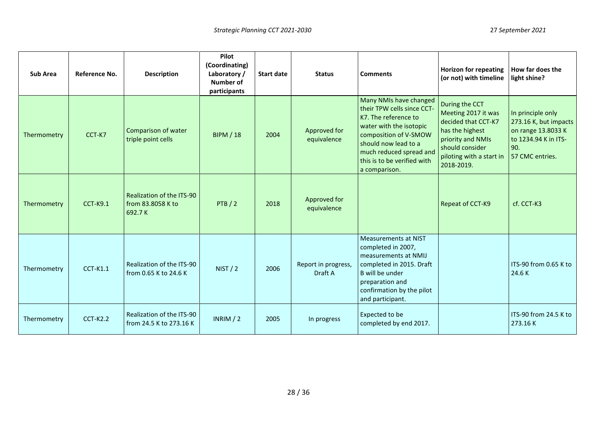| Sub Area    | Reference No.   | <b>Description</b>                                       | Pilot<br>(Coordinating)<br>Laboratory /<br>Number of<br>participants | <b>Start date</b> | <b>Status</b>                  | <b>Comments</b>                                                                                                                                                                                                                     | <b>Horizon for repeating</b><br>(or not) with timeline                                                                                                            | How far does the<br>light shine?                                                                                   |
|-------------|-----------------|----------------------------------------------------------|----------------------------------------------------------------------|-------------------|--------------------------------|-------------------------------------------------------------------------------------------------------------------------------------------------------------------------------------------------------------------------------------|-------------------------------------------------------------------------------------------------------------------------------------------------------------------|--------------------------------------------------------------------------------------------------------------------|
| Thermometry | CCT-K7          | Comparison of water<br>triple point cells                | <b>BIPM / 18</b>                                                     | 2004              | Approved for<br>equivalence    | Many NMIs have changed<br>their TPW cells since CCT-<br>K7. The reference to<br>water with the isotopic<br>composition of V-SMOW<br>should now lead to a<br>much reduced spread and<br>this is to be verified with<br>a comparison. | During the CCT<br>Meeting 2017 it was<br>decided that CCT-K7<br>has the highest<br>priority and NMIs<br>should consider<br>piloting with a start in<br>2018-2019. | In principle only<br>273.16 K, but impacts<br>on range 13.8033 K<br>to 1234.94 K in ITS-<br>90.<br>57 CMC entries. |
| Thermometry | <b>CCT-K9.1</b> | Realization of the ITS-90<br>from 83.8058 K to<br>692.7K | PTB / 2                                                              | 2018              | Approved for<br>equivalence    |                                                                                                                                                                                                                                     | Repeat of CCT-K9                                                                                                                                                  | cf. CCT-K3                                                                                                         |
| Thermometry | <b>CCT-K1.1</b> | Realization of the ITS-90<br>from 0.65 K to 24.6 K       | NIST/2                                                               | 2006              | Report in progress,<br>Draft A | <b>Measurements at NIST</b><br>completed in 2007,<br>measurements at NMIJ<br>completed in 2015. Draft<br>B will be under<br>preparation and<br>confirmation by the pilot<br>and participant.                                        |                                                                                                                                                                   | ITS-90 from 0.65 K to<br>24.6K                                                                                     |
| Thermometry | $CCT-K2.2$      | Realization of the ITS-90<br>from 24.5 K to 273.16 K     | INRIM $/ 2$                                                          | 2005              | In progress                    | Expected to be<br>completed by end 2017.                                                                                                                                                                                            |                                                                                                                                                                   | ITS-90 from 24.5 K to<br>273.16K                                                                                   |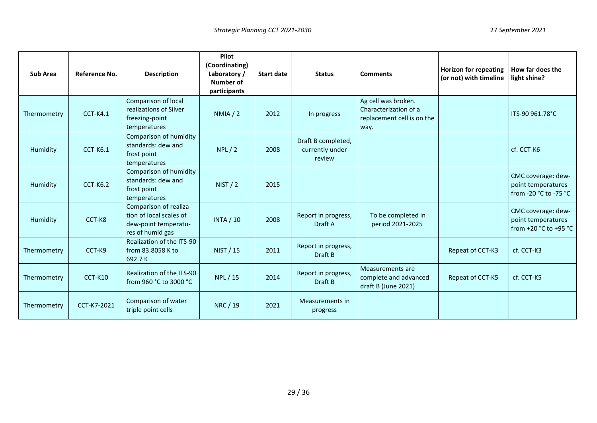| Sub Area    | Reference No.   | <b>Description</b>                                                                            | Pilot<br>(Coordinating)<br>Laboratory/<br>Number of<br>participants | <b>Start date</b> | <b>Status</b>                                   | <b>Comments</b>                                                                    | <b>Horizon for repeating</b><br>(or not) with timeline | How far does the<br>light shine?                                  |
|-------------|-----------------|-----------------------------------------------------------------------------------------------|---------------------------------------------------------------------|-------------------|-------------------------------------------------|------------------------------------------------------------------------------------|--------------------------------------------------------|-------------------------------------------------------------------|
| Thermometry | <b>CCT-K4.1</b> | Comparison of local<br>realizations of Silver<br>freezing-point<br>temperatures               | NMIA/2                                                              | 2012              | In progress                                     | Ag cell was broken.<br>Characterization of a<br>replacement cell is on the<br>way. |                                                        | ITS-90 961.78°C                                                   |
| Humidity    | <b>CCT-K6.1</b> | Comparison of humidity<br>standards: dew and<br>frost point<br>temperatures                   | NPL/2                                                               | 2008              | Draft B completed,<br>currently under<br>review |                                                                                    |                                                        | cf. CCT-K6                                                        |
| Humidity    | $CCT-K6.2$      | Comparison of humidity<br>standards: dew and<br>frost point<br>temperatures                   | NIST/2                                                              | 2015              |                                                 |                                                                                    |                                                        | CMC coverage: dew-<br>point temperatures<br>from -20 °C to -75 °C |
| Humidity    | CCT-K8          | Comparison of realiza-<br>tion of local scales of<br>dew-point temperatu-<br>res of humid gas | <b>INTA / 10</b>                                                    | 2008              | Report in progress,<br>Draft A                  | To be completed in<br>period 2021-2025                                             |                                                        | CMC coverage: dew-<br>point temperatures<br>from +20 °C to +95 °C |
| Thermometry | CCT-K9          | Realization of the ITS-90<br>from 83.8058 K to<br>692.7K                                      | NIST / 15                                                           | 2011              | Report in progress,<br>Draft B                  |                                                                                    | Repeat of CCT-K3                                       | cf. CCT-K3                                                        |
| Thermometry | CCT-K10         | Realization of the ITS-90<br>from 960 °C to 3000 °C                                           | NPL / 15                                                            | 2014              | Report in progress,<br>Draft B                  | Measurements are<br>complete and advanced<br>draft B (June 2021)                   | Repeat of CCT-K5                                       | cf. CCT-K5                                                        |
| Thermometry | CCT-K7-2021     | Comparison of water<br>triple point cells                                                     | NRC / 19                                                            | 2021              | Measurements in<br>progress                     |                                                                                    |                                                        |                                                                   |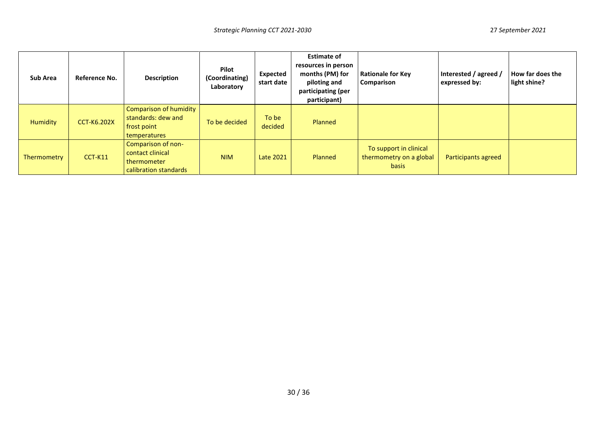| Sub Area        | Reference No.      | <b>Description</b>                                                                 | Pilot<br>(Coordinating)<br>Laboratory | Expected<br>start date | <b>Estimate of</b><br>resources in person<br>months (PM) for<br>piloting and<br>participating (per<br>participant) | <b>Rationale for Key</b><br>Comparison                            | Interested / agreed /<br>expressed by: | How far does the<br>light shine? |
|-----------------|--------------------|------------------------------------------------------------------------------------|---------------------------------------|------------------------|--------------------------------------------------------------------------------------------------------------------|-------------------------------------------------------------------|----------------------------------------|----------------------------------|
| <b>Humidity</b> | <b>CCT-K6.202X</b> | <b>Comparison of humidity</b><br>standards: dew and<br>frost point<br>temperatures | To be decided                         | To be<br>decided       | Planned                                                                                                            |                                                                   |                                        |                                  |
| Thermometry     | $CCT-K11$          | Comparison of non-<br>contact clinical<br>thermometer<br>calibration standards     | <b>NIM</b>                            | <b>Late 2021</b>       | Planned                                                                                                            | To support in clinical<br>thermometry on a global<br><b>basis</b> | Participants agreed                    |                                  |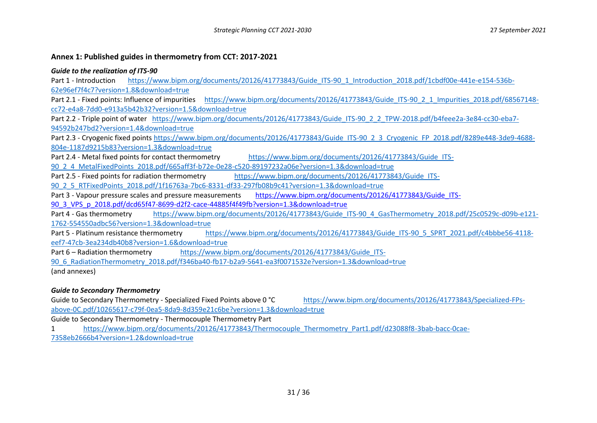#### **Annex 1: Published guides in thermometry from CCT: 2017-2021**

#### *Guide to the realization of ITS-90*

Part 1 - Introduction [https://www.bipm.org/documents/20126/41773843/Guide\\_ITS-90\\_1\\_Introduction\\_2018.pdf/1cbdf00e-441e-e154-536b-](https://www.bipm.org/documents/20126/41773843/Guide_ITS-90_1_Introduction_2018.pdf/1cbdf00e-441e-e154-536b-62e96ef7f4c7?version=1.8&download=true)[62e96ef7f4c7?version=1.8&download=true](https://www.bipm.org/documents/20126/41773843/Guide_ITS-90_1_Introduction_2018.pdf/1cbdf00e-441e-e154-536b-62e96ef7f4c7?version=1.8&download=true)

Part 2.1 - Fixed points: Influence of impurities [https://www.bipm.org/documents/20126/41773843/Guide\\_ITS-90\\_2\\_1\\_Impurities\\_2018.pdf/68567148](https://www.bipm.org/documents/20126/41773843/Guide_ITS-90_2_1_Impurities_2018.pdf/68567148-cc72-e4a8-7dd0-e913a5b42b32?version=1.5&download=true) [cc72-e4a8-7dd0-e913a5b42b32?version=1.5&download=true](https://www.bipm.org/documents/20126/41773843/Guide_ITS-90_2_1_Impurities_2018.pdf/68567148-cc72-e4a8-7dd0-e913a5b42b32?version=1.5&download=true)

Part 2.2 - Triple point of water [https://www.bipm.org/documents/20126/41773843/Guide\\_ITS-90\\_2\\_2\\_TPW-2018.pdf/b4feee2a-3e84-cc30-eba7-](https://www.bipm.org/documents/20126/41773843/Guide_ITS-90_2_2_TPW-2018.pdf/b4feee2a-3e84-cc30-eba7-94592b247bd2?version=1.4&download=true) [94592b247bd2?version=1.4&download=true](https://www.bipm.org/documents/20126/41773843/Guide_ITS-90_2_2_TPW-2018.pdf/b4feee2a-3e84-cc30-eba7-94592b247bd2?version=1.4&download=true)

Part 2.3 - Cryogenic fixed point[s https://www.bipm.org/documents/20126/41773843/Guide\\_ITS-90\\_2\\_3\\_Cryogenic\\_FP\\_2018.pdf/8289e448-3de9-4688-](https://www.bipm.org/documents/20126/41773843/Guide_ITS-90_2_3_Cryogenic_FP_2018.pdf/8289e448-3de9-4688-804e-1187d9215b83?version=1.3&download=true) [804e-1187d9215b83?version=1.3&download=true](https://www.bipm.org/documents/20126/41773843/Guide_ITS-90_2_3_Cryogenic_FP_2018.pdf/8289e448-3de9-4688-804e-1187d9215b83?version=1.3&download=true)

Part 2.4 - Metal fixed points for contact thermometry [https://www.bipm.org/documents/20126/41773843/Guide\\_ITS-](https://www.bipm.org/documents/20126/41773843/Guide_ITS-90_2_4_MetalFixedPoints_2018.pdf/665aff3f-b72e-0e28-c520-89197232a06e?version=1.3&download=true)

[90\\_2\\_4\\_MetalFixedPoints\\_2018.pdf/665aff3f-b72e-0e28-c520-89197232a06e?version=1.3&download=true](https://www.bipm.org/documents/20126/41773843/Guide_ITS-90_2_4_MetalFixedPoints_2018.pdf/665aff3f-b72e-0e28-c520-89197232a06e?version=1.3&download=true)

Part 2.5 - Fixed points for radiation thermometry [https://www.bipm.org/documents/20126/41773843/Guide\\_ITS-](https://www.bipm.org/documents/20126/41773843/Guide_ITS-90_2_5_RTFixedPoints_2018.pdf/1f16763a-7bc6-8331-df33-297fb08b9c41?version=1.3&download=true)

[90\\_2\\_5\\_RTFixedPoints\\_2018.pdf/1f16763a-7bc6-8331-df33-297fb08b9c41?version=1.3&download=true](https://www.bipm.org/documents/20126/41773843/Guide_ITS-90_2_5_RTFixedPoints_2018.pdf/1f16763a-7bc6-8331-df33-297fb08b9c41?version=1.3&download=true)

Part 3 - Vapour pressure scales and pressure measurements [https://www.bipm.org/documents/20126/41773843/Guide\\_ITS-](https://www.bipm.org/documents/20126/41773843/Guide_ITS-90_3_VPS_p_2018.pdf/dcd65f47-8699-d2f2-cace-44885f4f49fb?version=1.3&download=true)

[90\\_3\\_VPS\\_p\\_2018.pdf/dcd65f47-8699-d2f2-cace-44885f4f49fb?version=1.3&download=true](https://www.bipm.org/documents/20126/41773843/Guide_ITS-90_3_VPS_p_2018.pdf/dcd65f47-8699-d2f2-cace-44885f4f49fb?version=1.3&download=true)

Part 4 - Gas thermometry [https://www.bipm.org/documents/20126/41773843/Guide\\_ITS-90\\_4\\_GasThermometry\\_2018.pdf/25c0529c-d09b-e121-](https://www.bipm.org/documents/20126/41773843/Guide_ITS-90_4_GasThermometry_2018.pdf/25c0529c-d09b-e121-1762-554550adbc56?version=1.3&download=true) [1762-554550adbc56?version=1.3&download=true](https://www.bipm.org/documents/20126/41773843/Guide_ITS-90_4_GasThermometry_2018.pdf/25c0529c-d09b-e121-1762-554550adbc56?version=1.3&download=true)

Part 5 - Platinum resistance thermometry [https://www.bipm.org/documents/20126/41773843/Guide\\_ITS-90\\_5\\_SPRT\\_2021.pdf/c4bbbe56-4118](https://www.bipm.org/documents/20126/41773843/Guide_ITS-90_5_SPRT_2021.pdf/c4bbbe56-4118-eef7-47cb-3ea234db40b8?version=1.6&download=true) [eef7-47cb-3ea234db40b8?version=1.6&download=true](https://www.bipm.org/documents/20126/41773843/Guide_ITS-90_5_SPRT_2021.pdf/c4bbbe56-4118-eef7-47cb-3ea234db40b8?version=1.6&download=true)

Part 6 – Radiation thermometry [https://www.bipm.org/documents/20126/41773843/Guide\\_ITS-](https://www.bipm.org/documents/20126/41773843/Guide_ITS-90_6_RadiationThermometry_2018.pdf/f346ba40-fb17-b2a9-5641-ea3f0071532e?version=1.3&download=true)

[90\\_6\\_RadiationThermometry\\_2018.pdf/f346ba40-fb17-b2a9-5641-ea3f0071532e?version=1.3&download=true](https://www.bipm.org/documents/20126/41773843/Guide_ITS-90_6_RadiationThermometry_2018.pdf/f346ba40-fb17-b2a9-5641-ea3f0071532e?version=1.3&download=true)

(and annexes)

# *Guide to Secondary Thermometry*

Guide to Secondary Thermometry - Specialized Fixed Points above 0 °C [https://www.bipm.org/documents/20126/41773843/Specialized-FPs](https://www.bipm.org/documents/20126/41773843/Specialized-FPs-above-0C.pdf/10265617-c79f-0ea5-8da9-8d359e21c6be?version=1.3&download=true)[above-0C.pdf/10265617-c79f-0ea5-8da9-8d359e21c6be?version=1.3&download=true](https://www.bipm.org/documents/20126/41773843/Specialized-FPs-above-0C.pdf/10265617-c79f-0ea5-8da9-8d359e21c6be?version=1.3&download=true)

Guide to Secondary Thermometry - Thermocouple Thermometry Part

1 [https://www.bipm.org/documents/20126/41773843/Thermocouple\\_Thermometry\\_Part1.pdf/d23088f8-3bab-bacc-0cae-](https://www.bipm.org/documents/20126/41773843/Thermocouple_Thermometry_Part1.pdf/d23088f8-3bab-bacc-0cae-7358eb2666b4?version=1.2&download=true)[7358eb2666b4?version=1.2&download=true](https://www.bipm.org/documents/20126/41773843/Thermocouple_Thermometry_Part1.pdf/d23088f8-3bab-bacc-0cae-7358eb2666b4?version=1.2&download=true)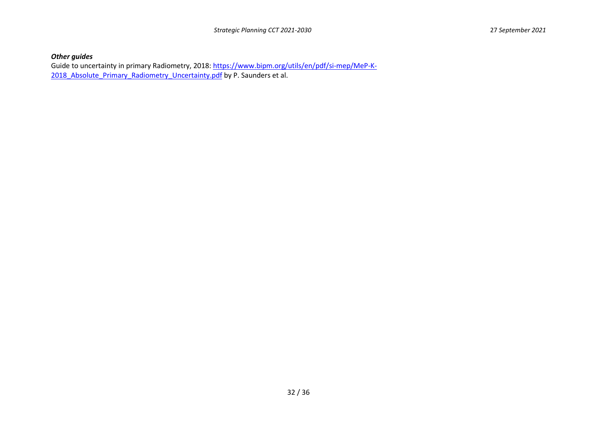# *Other guides*

Guide to uncertainty in primary Radiometry, 2018: [https://www.bipm.org/utils/en/pdf/si-mep/MeP-K-](https://www.bipm.org/utils/en/pdf/si-mep/MeP-K-2018_Absolute_Primary_Radiometry_Uncertainty.pdf)2018 Absolute Primary Radiometry Uncertainty.pdf by P. Saunders et al.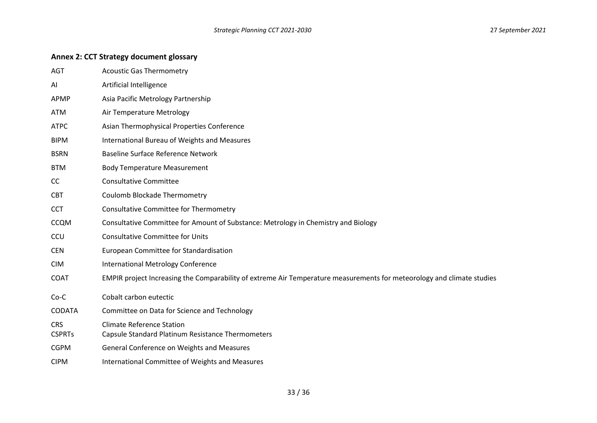#### *Strategic Planning CCT 2021-2030* 27 *September 2021*

#### **Annex 2: CCT Strategy document glossary**

- AGT **Acoustic Gas Thermometry**
- AI Artificial Intelligence
- APMP Asia Pacific Metrology Partnership
- ATM Air Temperature Metrology
- ATPC Asian Thermophysical Properties Conference
- BIPM International Bureau of Weights and Measures
- BSRN Baseline Surface Reference Network
- BTM Body Temperature Measurement
- CC Consultative Committee
- CBT Coulomb Blockade Thermometry
- CCT Consultative Committee for Thermometry
- CCQM Consultative Committee for Amount of Substance: Metrology in Chemistry and Biology
- CCU Consultative Committee for Units
- CEN European Committee for Standardisation
- CIM International Metrology Conference
- COAT EMPIR project Increasing the Comparability of extreme Air Temperature measurements for meteorology and climate studies
- Co-C Cobalt carbon eutectic
- CODATA Committee on Data for Science and Technology
- CRS Climate Reference Station
- CSPRTs Capsule Standard Platinum Resistance Thermometers
- CGPM General Conference on Weights and Measures
- CIPM International Committee of Weights and Measures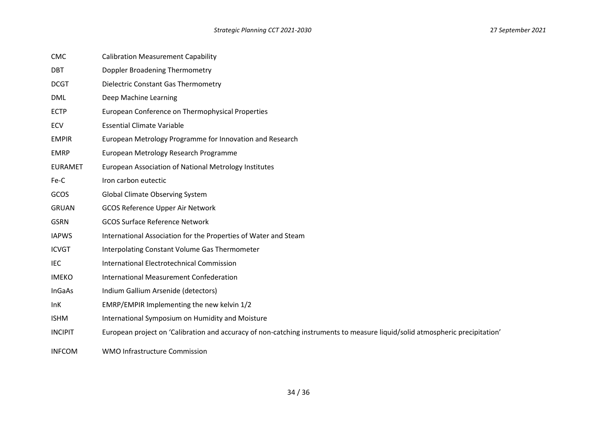| <b>CMC</b> |  | <b>Calibration Measurement Capability</b> |  |
|------------|--|-------------------------------------------|--|
|------------|--|-------------------------------------------|--|

- DBT Doppler Broadening Thermometry
- DCGT Dielectric Constant Gas Thermometry
- DML Deep Machine Learning
- ECTP European Conference on Thermophysical Properties
- ECV Essential Climate Variable
- EMPIR European Metrology Programme for Innovation and Research
- EMRP European Metrology Research Programme
- EURAMET European Association of National Metrology Institutes
- Fe-C Iron carbon eutectic
- GCOS Global Climate Observing System
- GRUAN GCOS Reference Upper Air Network
- GSRN GCOS Surface Reference Network
- IAPWS International Association for the Properties of Water and Steam
- ICVGT Interpolating Constant Volume Gas Thermometer
- IEC International Electrotechnical Commission
- IMEKO International Measurement Confederation
- InGaAs Indium Gallium Arsenide (detectors)
- InK EMRP/EMPIR Implementing the new kelvin 1/2
- ISHM International Symposium on Humidity and Moisture
- INCIPIT European project on 'Calibration and accuracy of non-catching instruments to measure liquid/solid atmospheric precipitation'
- INFCOM WMO Infrastructure Commission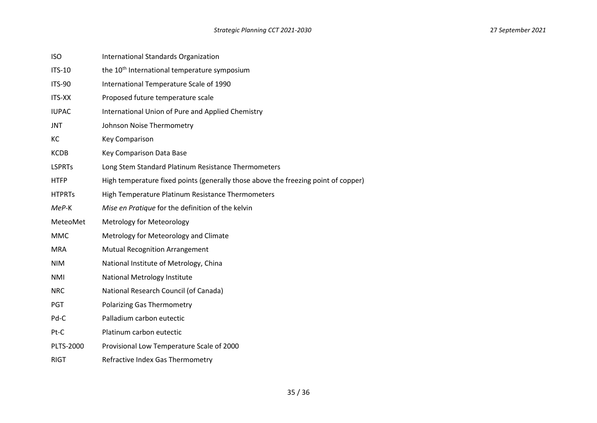| <b>ISO</b>    | International Standards Organization                                               |
|---------------|------------------------------------------------------------------------------------|
| <b>ITS-10</b> | the 10 <sup>th</sup> International temperature symposium                           |
| <b>ITS-90</b> | International Temperature Scale of 1990                                            |
| <b>ITS-XX</b> | Proposed future temperature scale                                                  |
| <b>IUPAC</b>  | International Union of Pure and Applied Chemistry                                  |
| <b>JNT</b>    | Johnson Noise Thermometry                                                          |
| KC            | <b>Key Comparison</b>                                                              |
| <b>KCDB</b>   | Key Comparison Data Base                                                           |
| <b>LSPRTs</b> | Long Stem Standard Platinum Resistance Thermometers                                |
| <b>HTFP</b>   | High temperature fixed points (generally those above the freezing point of copper) |
| <b>HTPRTs</b> | High Temperature Platinum Resistance Thermometers                                  |
| MeP-K         | Mise en Pratique for the definition of the kelvin                                  |
| MeteoMet      | Metrology for Meteorology                                                          |
| <b>MMC</b>    | Metrology for Meteorology and Climate                                              |
| <b>MRA</b>    | <b>Mutual Recognition Arrangement</b>                                              |
| <b>NIM</b>    | National Institute of Metrology, China                                             |
| <b>NMI</b>    | National Metrology Institute                                                       |
| <b>NRC</b>    | National Research Council (of Canada)                                              |
| <b>PGT</b>    | <b>Polarizing Gas Thermometry</b>                                                  |
| Pd-C          | Palladium carbon eutectic                                                          |
| Pt-C          | Platinum carbon eutectic                                                           |
| PLTS-2000     | Provisional Low Temperature Scale of 2000                                          |
| <b>RIGT</b>   | Refractive Index Gas Thermometry                                                   |